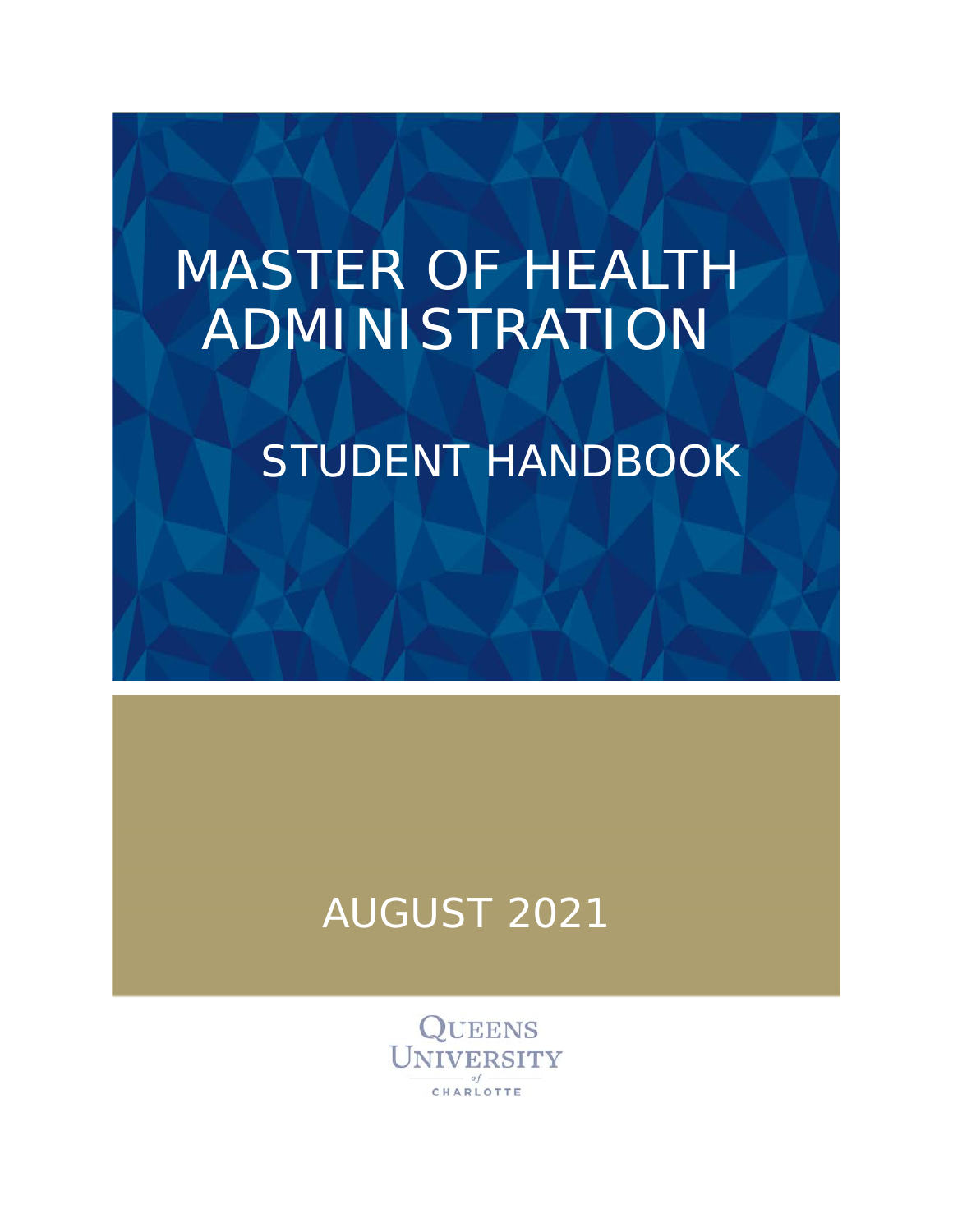# MASTER OF HEALTH ADMINISTRATION

## STUDENT HANDBOOK

### AUGUST 2021

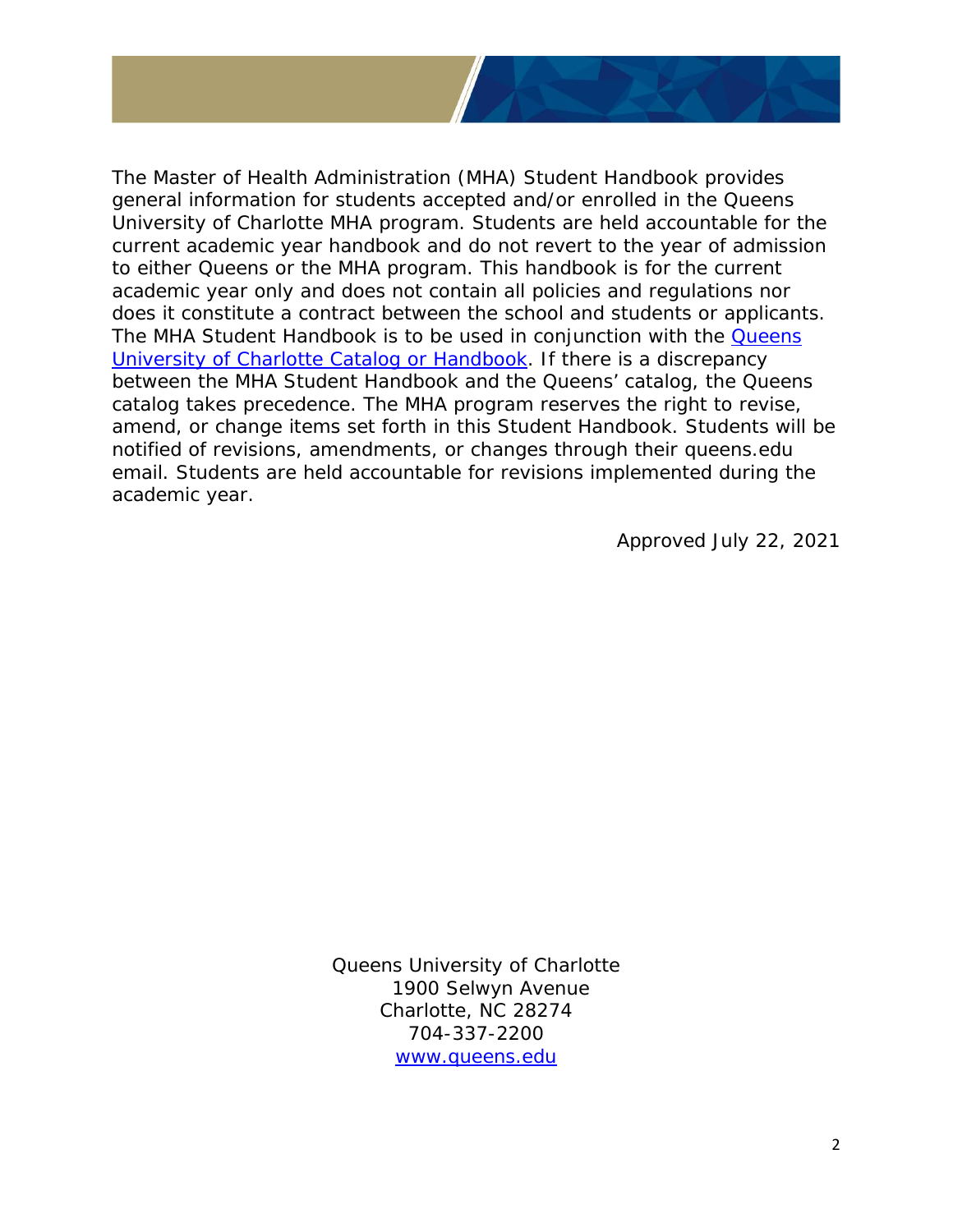

Approved July 22, 2021

Queens University of Charlotte 1900 Selwyn Avenue Charlotte, NC 28274 704-337-2200 [www.queens.edu](http://www.queens.edu/)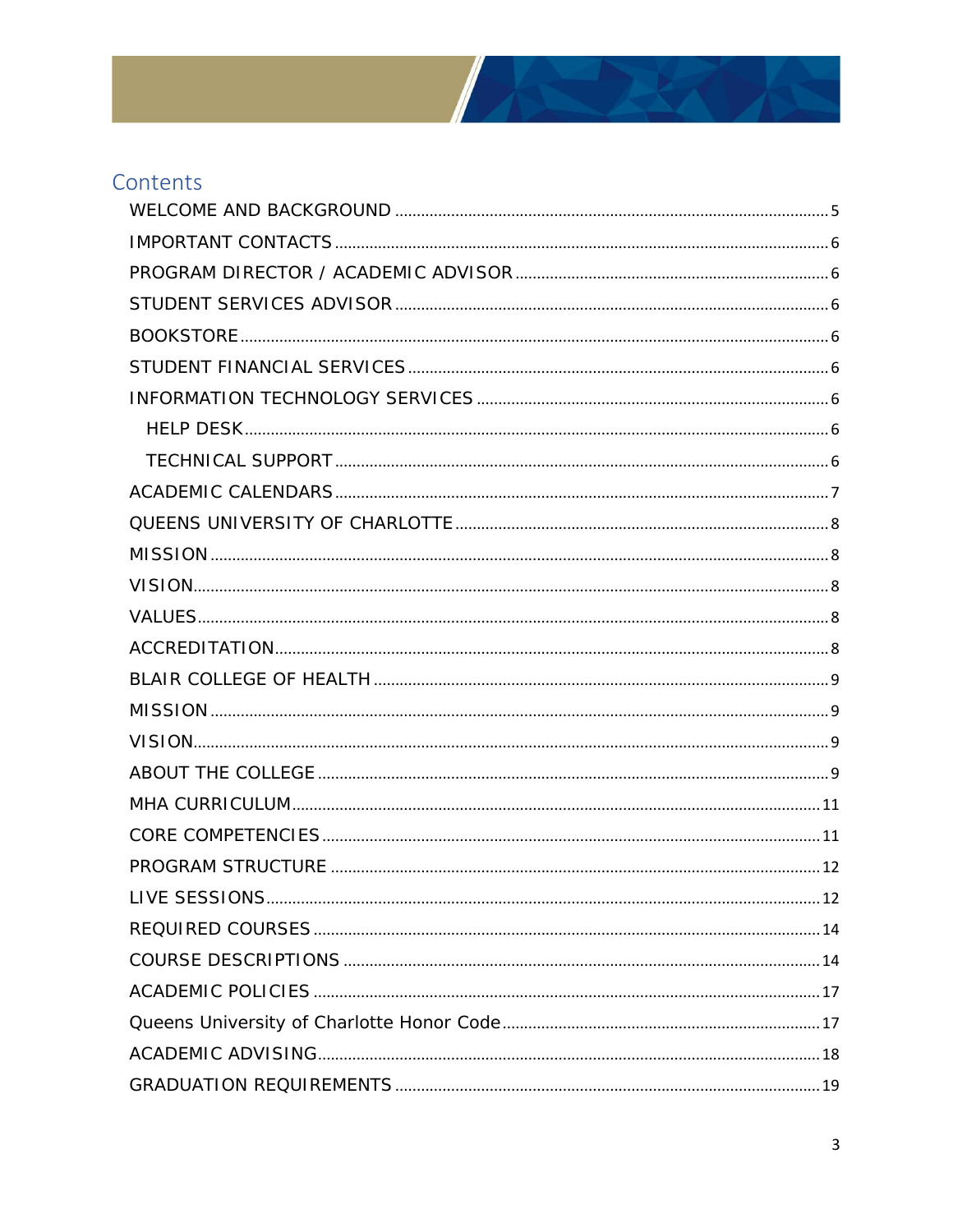

### Contents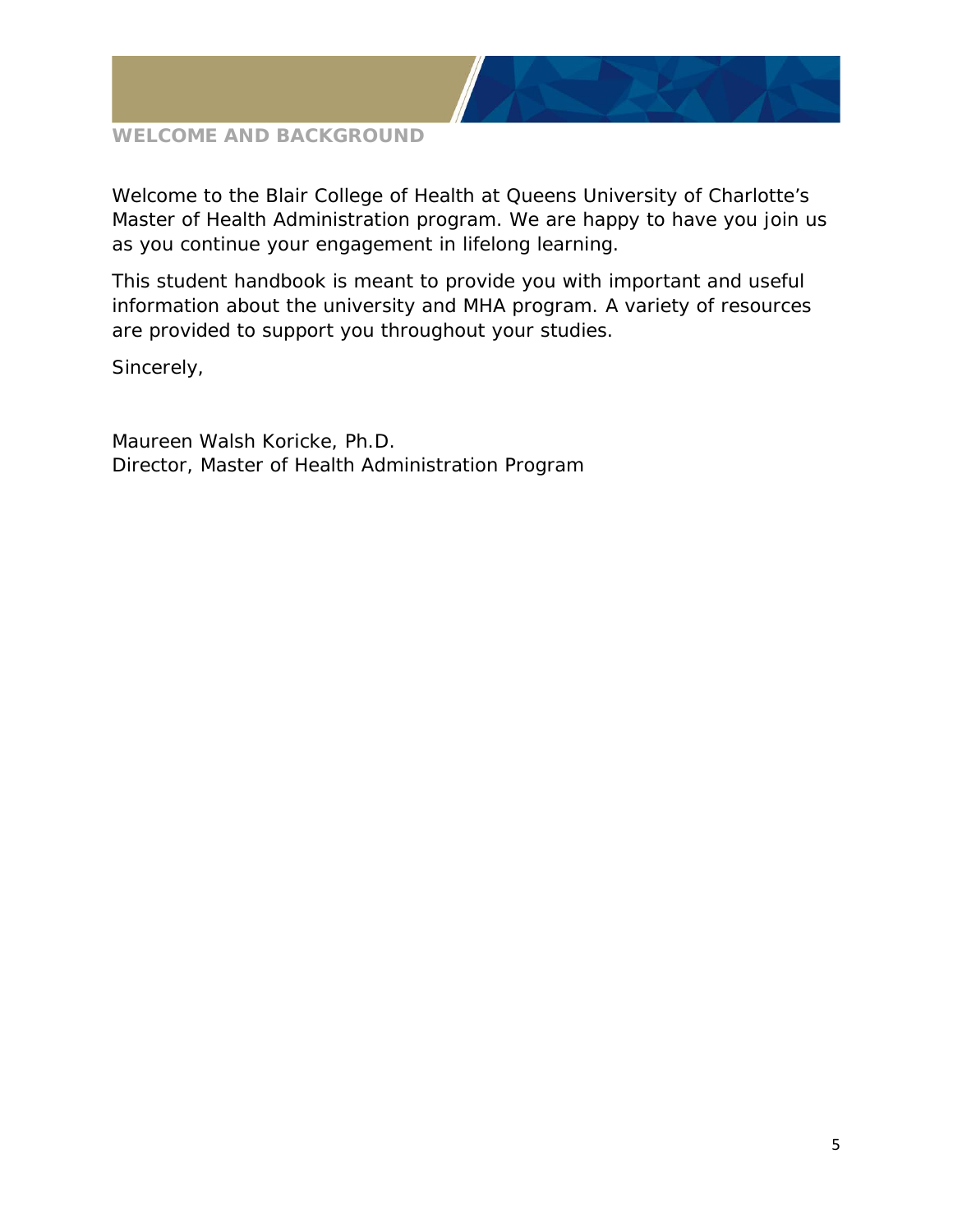

#### <span id="page-4-0"></span>**WELCOME AND BACKGROUND**

Welcome to the Blair College of Health at Queens University of Charlotte's Master of Health Administration program. We are happy to have you join us as you continue your engagement in lifelong learning.

This student handbook is meant to provide you with important and useful information about the university and MHA program. A variety of resources are provided to support you throughout your studies.

Sincerely,

Maureen Walsh Koricke, Ph.D. Director, Master of Health Administration Program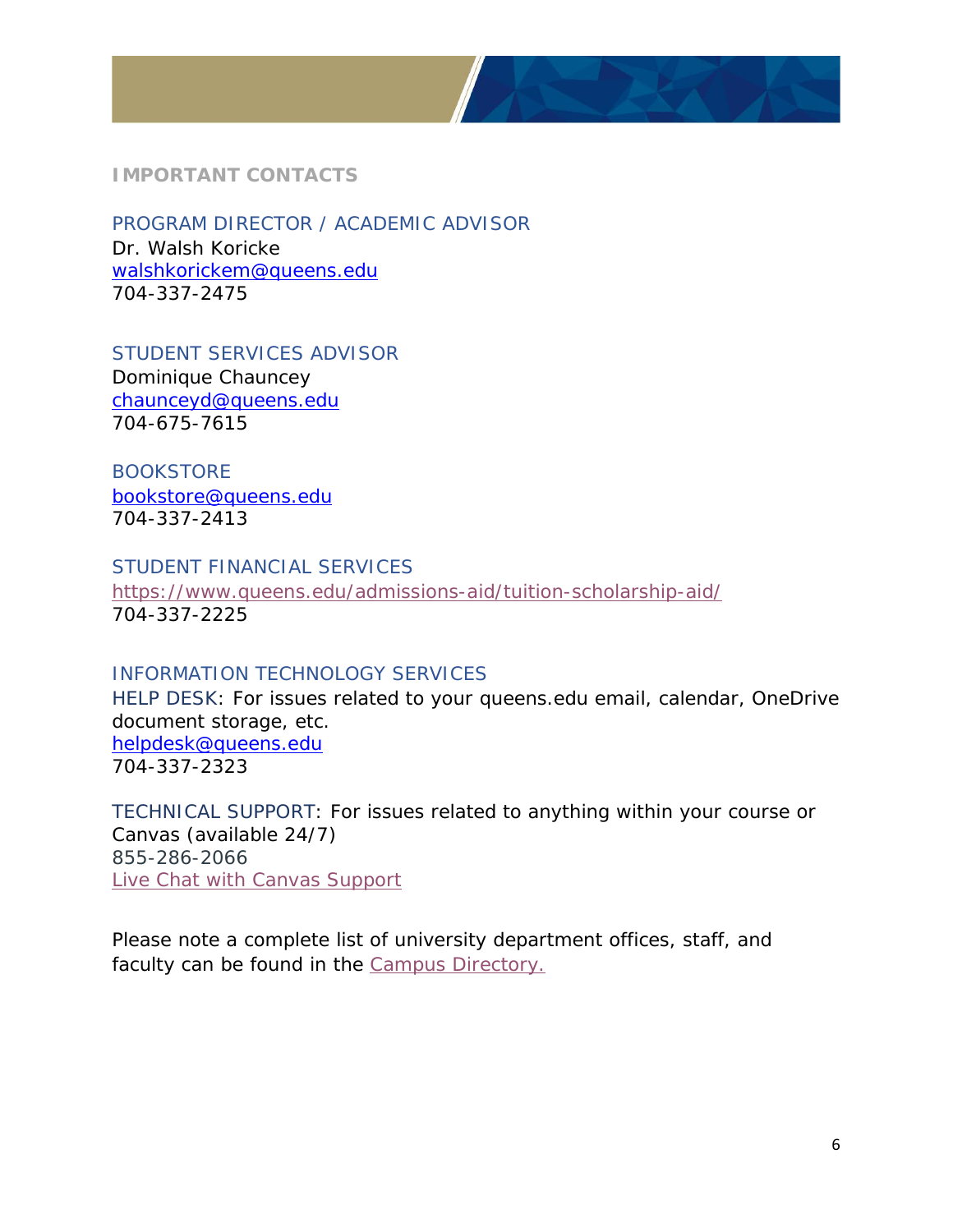

#### <span id="page-5-0"></span>**IMPORTANT CONTACTS**

<span id="page-5-1"></span>PROGRAM DIRECTOR / ACADEMIC ADVISOR Dr. Walsh Koricke [walshkorickem@queens.edu](mailto:walshkorickem@queens.edu) 704-337-2475

<span id="page-5-2"></span>STUDENT SERVICES ADVISOR Dominique Chauncey [chaunceyd@queens.edu](mailto:chaunceyd@queens.edu) 704-675-7615

<span id="page-5-3"></span>BOOKSTORE [bookstore@queens.edu](mailto:bookstore@queens.edu) 704-337-2413

#### <span id="page-5-4"></span>STUDENT FINANCIAL SERVICES

<https://www.queens.edu/admissions-aid/tuition-scholarship-aid/> 704-337-2225

#### <span id="page-5-5"></span>INFORMATION TECHNOLOGY SERVICES

<span id="page-5-6"></span>HELP DESK: For issues related to your queens.edu email, calendar, OneDrive document storage, etc. [helpdesk@queens.edu](mailto:helpdesk@queens.edu) 704-337-2323

<span id="page-5-7"></span>TECHNICAL SUPPORT: For issues related to anything within your course or Canvas (available 24/7) 855-286-2066 [Live Chat with Canvas Support](https://cases.canvaslms.com/liveagentchat?chattype=student&sfid=001A000000Rbjl7IAB)

*Please note a complete list of university department offices, staff, and faculty can be found in the [Campus Directory.](https://www.queens.edu/campus-directory.html)*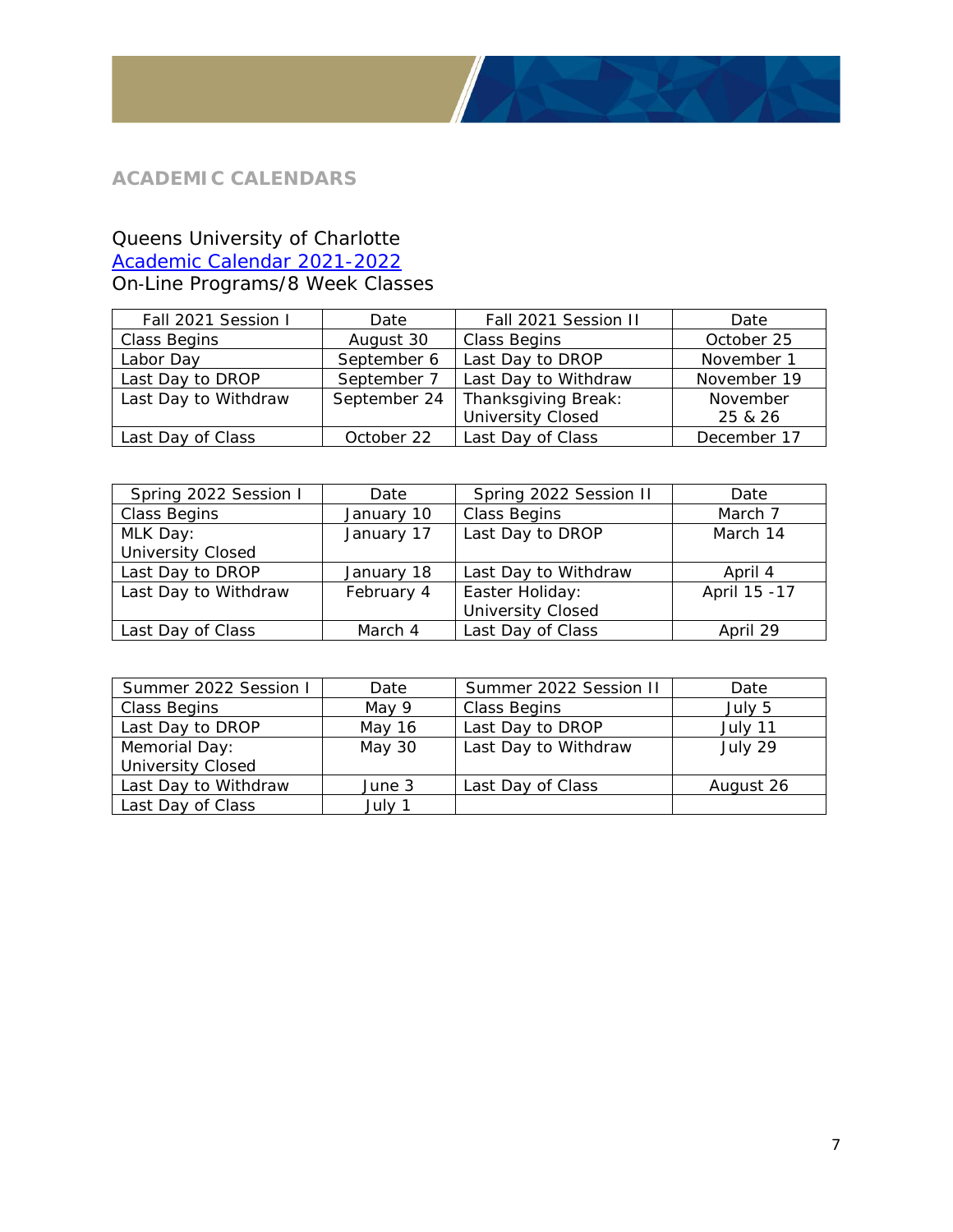#### <span id="page-6-0"></span>**ACADEMIC CALENDARS**

#### Queens University of Charlotte

[Academic Calendar 2021-2022](https://www.queens.edu/academics/academic-support/registrar/2021-2022-graduate-academic-calendar-8-week-sessions-101520.pdf)

On‐Line Programs/8 Week Classes

| Fall 2021 Session I  | Date         | Fall 2021 Session II     | Date        |
|----------------------|--------------|--------------------------|-------------|
| <b>Class Begins</b>  | August 30    | <b>Class Begins</b>      | October 25  |
| Labor Day            | September 6  | Last Day to DROP         | November 1  |
| Last Day to DROP     | September 7  | Last Day to Withdraw     | November 19 |
| Last Day to Withdraw | September 24 | Thanksgiving Break:      | November    |
|                      |              | <b>University Closed</b> | 25 & 26     |
| Last Day of Class    | October 22   | Last Day of Class        | December 17 |

| Spring 2022 Session I    | Date       | Spring 2022 Session II   | Date          |
|--------------------------|------------|--------------------------|---------------|
| Class Begins             | January 10 | <b>Class Begins</b>      | March 7       |
| MLK Day:                 | January 17 | Last Day to DROP         |               |
| <b>University Closed</b> |            |                          |               |
| Last Day to DROP         | January 18 | Last Day to Withdraw     | April 4       |
| Last Day to Withdraw     | February 4 | Easter Holiday:          | April 15 - 17 |
|                          |            | <b>University Closed</b> |               |
| Last Day of Class        | March 4    | Last Day of Class        | April 29      |

| Summer 2022 Session I    | Date   | Summer 2022 Session II | Date      |
|--------------------------|--------|------------------------|-----------|
| Class Begins             | May 9  | <b>Class Begins</b>    | July 5    |
| Last Day to DROP         | May 16 | Last Day to DROP       | July 11   |
| Memorial Day:            | May 30 | Last Day to Withdraw   | July 29   |
| <b>University Closed</b> |        |                        |           |
| Last Day to Withdraw     | June 3 | Last Day of Class      | August 26 |
| Last Day of Class        | July 1 |                        |           |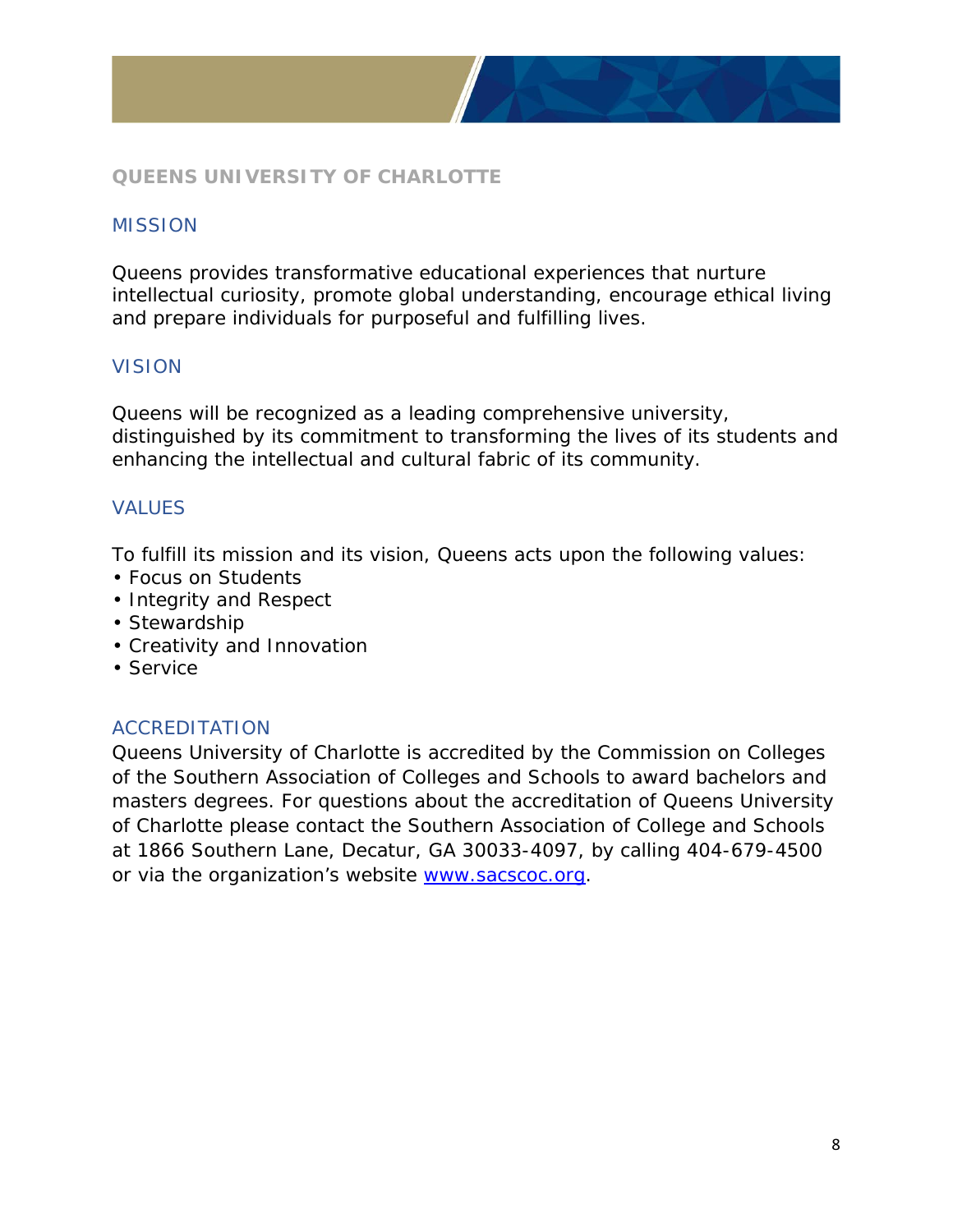

#### <span id="page-7-0"></span>**QUEENS UNIVERSITY OF CHARLOTTE**

#### <span id="page-7-1"></span>**MISSION**

Queens provides transformative educational experiences that nurture intellectual curiosity, promote global understanding, encourage ethical living and prepare individuals for purposeful and fulfilling lives.

#### <span id="page-7-2"></span>VISION

Queens will be recognized as a leading comprehensive university, distinguished by its commitment to transforming the lives of its students and enhancing the intellectual and cultural fabric of its community.

#### <span id="page-7-3"></span>VALUES

To fulfill its mission and its vision, Queens acts upon the following values:

- Focus on Students
- Integrity and Respect
- Stewardship
- Creativity and Innovation
- Service

#### <span id="page-7-4"></span>ACCREDITATION

Queens University of Charlotte is accredited by the Commission on Colleges of the Southern Association of Colleges and Schools to award bachelors and masters degrees. For questions about the accreditation of Queens University of Charlotte please contact the Southern Association of College and Schools at 1866 Southern Lane, Decatur, GA 30033-4097, by calling 404-679-4500 or via the organization's website [www.sacscoc.org.](http://www.sacscoc.org/)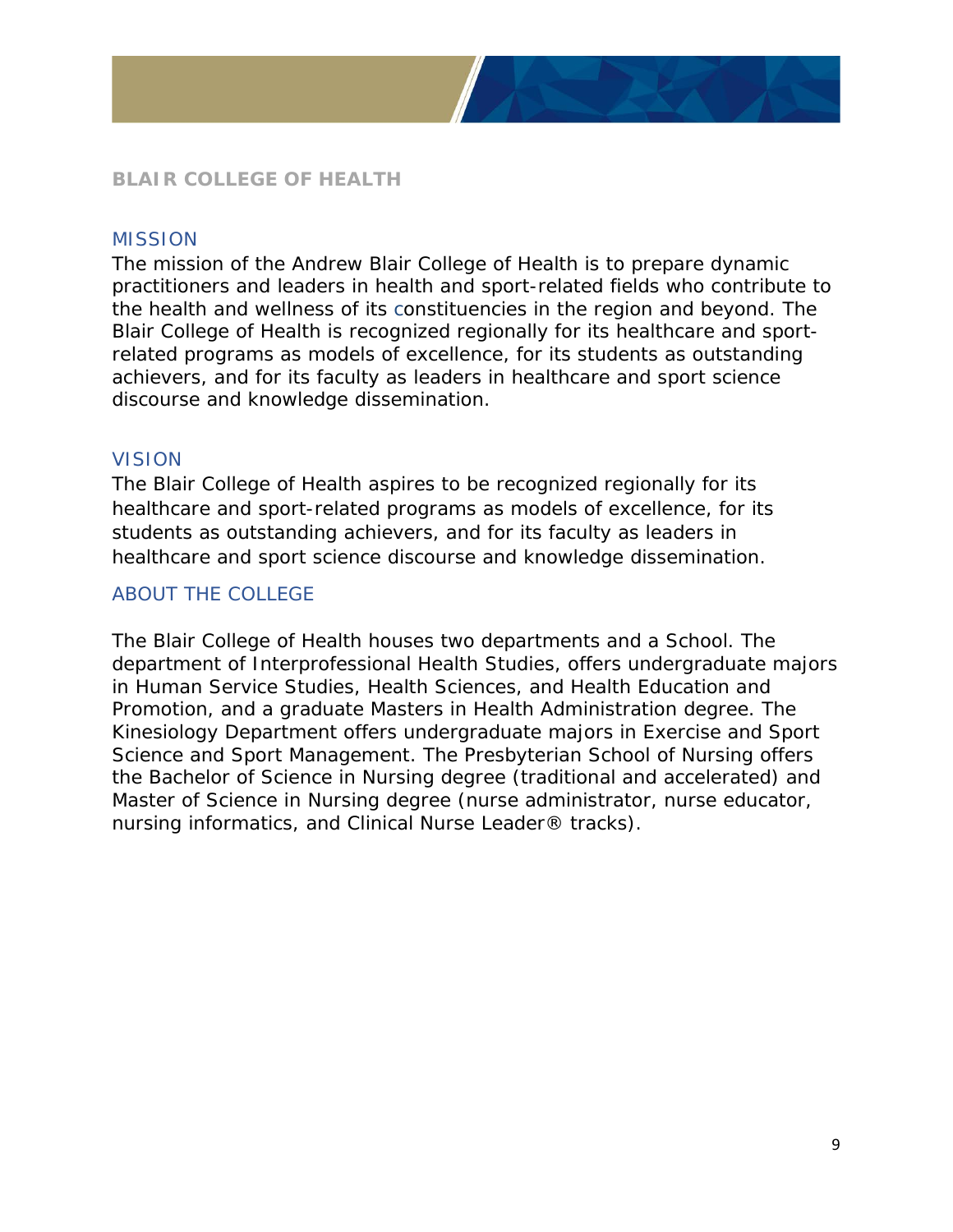

#### <span id="page-8-0"></span>**BLAIR COLLEGE OF HEALTH**

#### <span id="page-8-1"></span>**MISSION**

The mission of the Andrew Blair College of Health is to prepare dynamic practitioners and leaders in health and sport-related fields who contribute to the health and wellness of its constituencies in the region and beyond. The Blair College of Health is recognized regionally for its healthcare and sportrelated programs as models of excellence, for its students as outstanding achievers, and for its faculty as leaders in healthcare and sport science discourse and knowledge dissemination.

#### <span id="page-8-2"></span>VISION

The Blair College of Health aspires to be recognized regionally for its healthcare and sport-related programs as models of excellence, for its students as outstanding achievers, and for its faculty as leaders in healthcare and sport science discourse and knowledge dissemination.

#### <span id="page-8-3"></span>ABOUT THE COLLEGE

The Blair College of Health houses two departments and a School. The department of Interprofessional Health Studies, offers undergraduate majors in Human Service Studies, Health Sciences, and Health Education and Promotion, and a graduate Masters in Health Administration degree. The Kinesiology Department offers undergraduate majors in Exercise and Sport Science and Sport Management. The Presbyterian School of Nursing offers the Bachelor of Science in Nursing degree (traditional and accelerated) and Master of Science in Nursing degree (nurse administrator, nurse educator, nursing informatics, and Clinical Nurse Leader® tracks).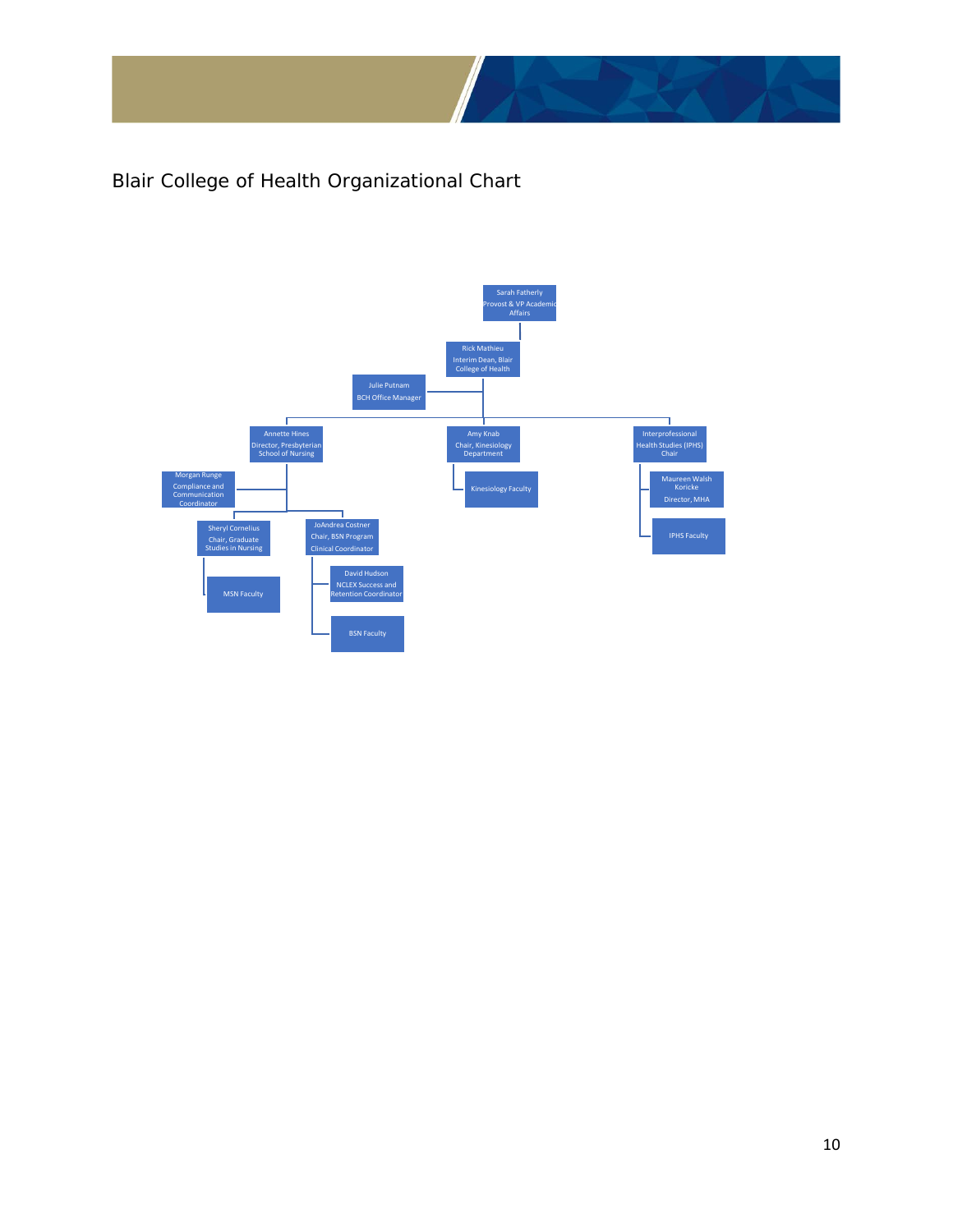

Blair College of Health Organizational Chart

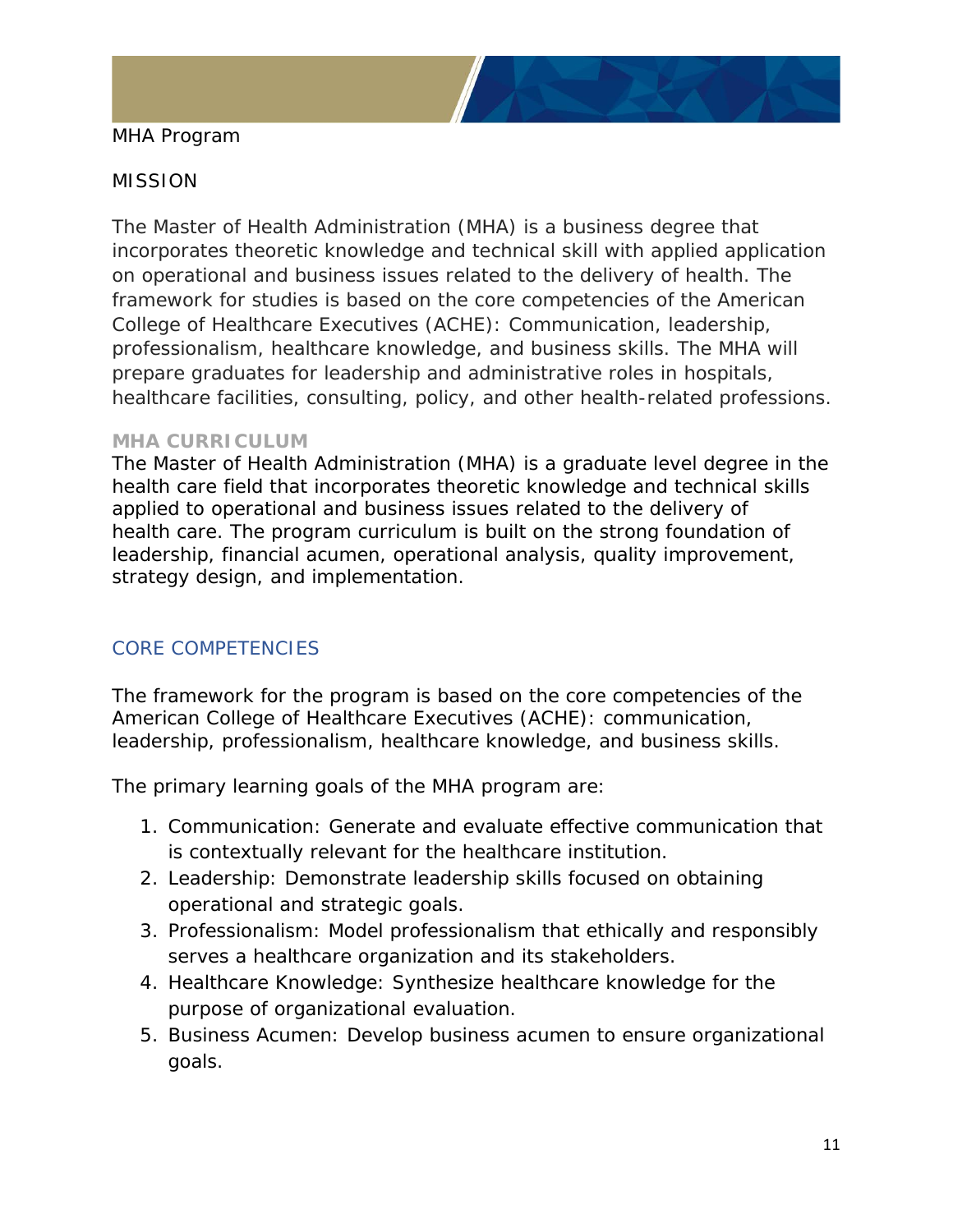

#### MHA Program

#### MISSION

The Master of Health Administration (MHA) is a business degree that incorporates theoretic knowledge and technical skill with applied application on operational and business issues related to the delivery of health. The framework for studies is based on the core competencies of the American College of Healthcare Executives (ACHE): Communication, leadership, professionalism, healthcare knowledge, and business skills. The MHA will prepare graduates for leadership and administrative roles in hospitals, healthcare facilities, consulting, policy, and other health-related professions.

#### <span id="page-10-0"></span>**MHA CURRICULUM**

The Master of Health Administration (MHA) is a graduate level degree in the health care field that incorporates theoretic knowledge and technical skills applied to operational and business issues related to the delivery of health care. The program curriculum is built on the strong foundation of leadership, financial acumen, operational analysis, quality improvement, strategy design, and implementation.

#### <span id="page-10-1"></span>CORE COMPETENCIES

The framework for the program is based on the core competencies of the American College of Healthcare Executives (ACHE): communication, leadership, professionalism, healthcare knowledge, and business skills.

The primary learning goals of the MHA program are:

- 1. Communication: Generate and evaluate effective communication that is contextually relevant for the healthcare institution.
- 2. Leadership: Demonstrate leadership skills focused on obtaining operational and strategic goals.
- 3. Professionalism: Model professionalism that ethically and responsibly serves a healthcare organization and its stakeholders.
- 4. Healthcare Knowledge: Synthesize healthcare knowledge for the purpose of organizational evaluation.
- 5. Business Acumen: Develop business acumen to ensure organizational goals.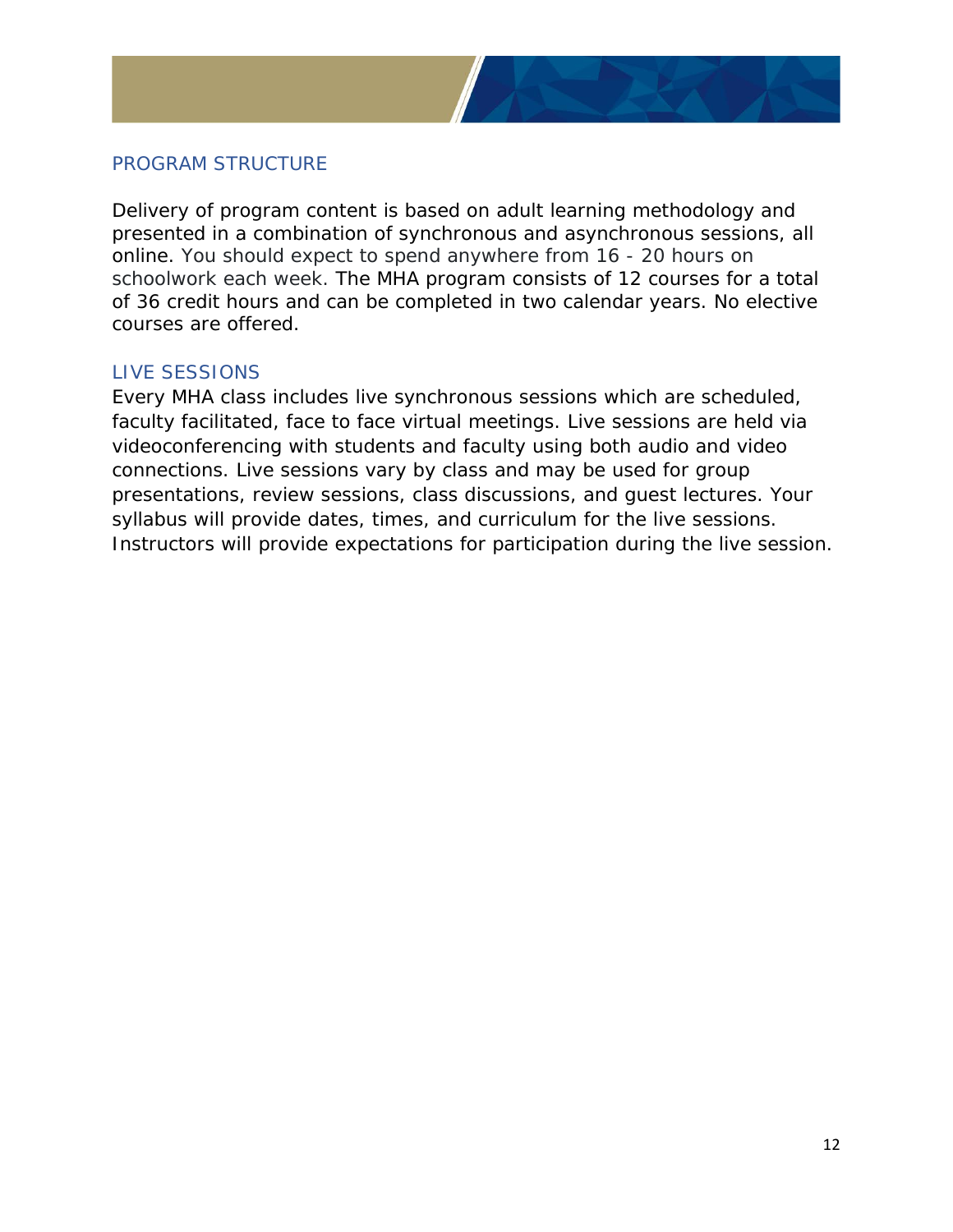

#### <span id="page-11-0"></span>PROGRAM STRUCTURE

Delivery of program content is based on adult learning methodology and presented in a combination of synchronous and asynchronous sessions, all online. You should expect to spend anywhere from 16 - 20 hours on schoolwork each week. The MHA program consists of 12 courses for a total of 36 credit hours and can be completed in two calendar years. No elective courses are offered.

#### <span id="page-11-1"></span>LIVE SESSIONS

Every MHA class includes live synchronous sessions which are scheduled, faculty facilitated, face to face virtual meetings. Live sessions are held via videoconferencing with students and faculty using both audio and video connections. Live sessions vary by class and may be used for group presentations, review sessions, class discussions, and guest lectures. Your syllabus will provide dates, times, and curriculum for the live sessions. Instructors will provide expectations for participation during the live session.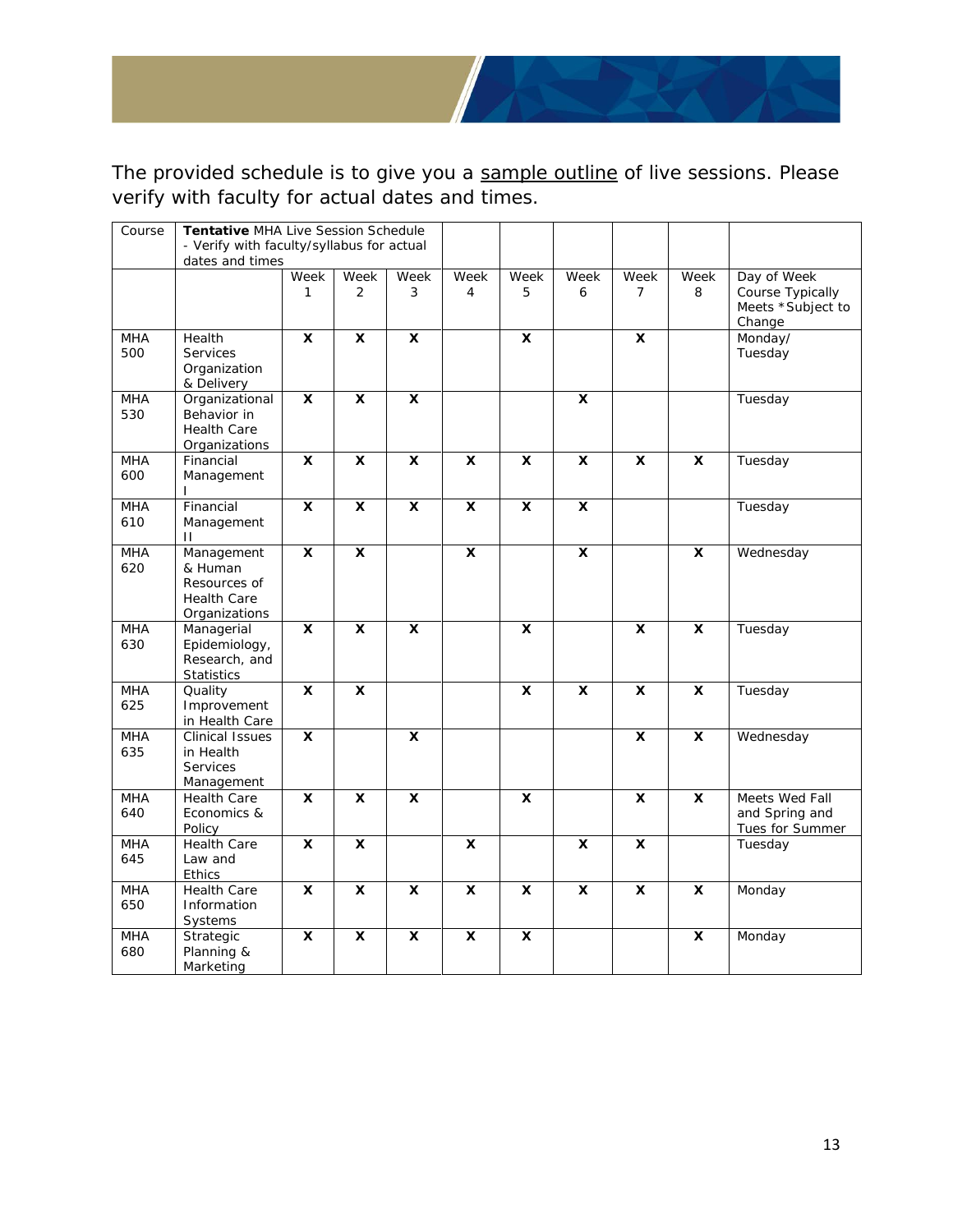

The provided schedule is to give you a sample outline of live sessions. Please verify with faculty for actual dates and times.

| Course            | Tentative MHA Live Session Schedule<br>- Verify with faculty/syllabus for actual<br>dates and times |                         |                         |                         |                         |                         |                         |                |                           |                                                                |
|-------------------|-----------------------------------------------------------------------------------------------------|-------------------------|-------------------------|-------------------------|-------------------------|-------------------------|-------------------------|----------------|---------------------------|----------------------------------------------------------------|
|                   |                                                                                                     | Week<br>1               | Week<br>2               | Week<br>3               | Week<br>4               | Week<br>5               | Week<br>6               | Week<br>7      | Week<br>8                 | Day of Week<br>Course Typically<br>Meets *Subject to<br>Change |
| <b>MHA</b><br>500 | Health<br><b>Services</b><br>Organization<br>& Delivery                                             | X                       | X                       | X                       |                         | X                       |                         | $\mathsf{x}$   |                           | Monday/<br>Tuesday                                             |
| <b>MHA</b><br>530 | Organizational<br>Behavior in<br>Health Care<br>Organizations                                       | X                       | X                       | X                       |                         |                         | X                       |                |                           | Tuesday                                                        |
| <b>MHA</b><br>600 | Financial<br>Management                                                                             | X                       | $\overline{\mathbf{x}}$ | $\overline{\mathbf{x}}$ | $\overline{\mathbf{x}}$ | X                       | $\overline{\mathbf{x}}$ | $\mathsf{x}$   | X                         | Tuesday                                                        |
| <b>MHA</b><br>610 | Financial<br>Management<br>$\mathbf{H}$                                                             | $\overline{\mathbf{x}}$ | $\overline{\mathbf{x}}$ | $\overline{\mathbf{x}}$ | $\overline{\mathbf{x}}$ | $\overline{\mathbf{x}}$ | $\overline{\mathbf{x}}$ |                |                           | Tuesday                                                        |
| <b>MHA</b><br>620 | Management<br>& Human<br>Resources of<br><b>Health Care</b><br>Organizations                        | $\pmb{\times}$          | $\overline{\mathbf{x}}$ |                         | $\pmb{\times}$          |                         | $\mathbf x$             |                | X                         | Wednesday                                                      |
| <b>MHA</b><br>630 | Managerial<br>Epidemiology,<br>Research, and<br>Statistics                                          | $\mathsf{x}$            | X                       | X                       |                         | X                       |                         | $\mathsf{x}$   | X                         | Tuesday                                                        |
| MHA<br>625        | Quality<br>Improvement<br>in Health Care                                                            | X                       | X                       |                         |                         | X                       | X                       | X              | X                         | Tuesday                                                        |
| <b>MHA</b><br>635 | <b>Clinical Issues</b><br>in Health<br><b>Services</b><br>Management                                | X                       |                         | $\overline{\mathbf{x}}$ |                         |                         |                         | X              | X                         | Wednesday                                                      |
| <b>MHA</b><br>640 | <b>Health Care</b><br>Economics &<br>Policy                                                         | X                       | X                       | $\pmb{\chi}$            |                         | $\pmb{\mathsf{x}}$      |                         | $\mathbf{x}$   | $\boldsymbol{\mathsf{x}}$ | Meets Wed Fall<br>and Spring and<br>Tues for Summer            |
| <b>MHA</b><br>645 | <b>Health Care</b><br>Law and<br><b>Ethics</b>                                                      | $\pmb{\times}$          | $\pmb{\times}$          |                         | X                       |                         | $\pmb{\mathsf{x}}$      | $\pmb{\times}$ |                           | Tuesday                                                        |
| <b>MHA</b><br>650 | <b>Health Care</b><br>Information<br>Systems                                                        | X                       | $\overline{\mathbf{x}}$ | X                       | X                       | X                       | X                       | $\mathsf{x}$   | X                         | Monday                                                         |
| <b>MHA</b><br>680 | Strategic<br>Planning &<br>Marketing                                                                | X                       | X                       | X                       | $\mathbf{x}$            | $\pmb{\mathsf{x}}$      |                         |                | $\boldsymbol{\mathsf{x}}$ | Monday                                                         |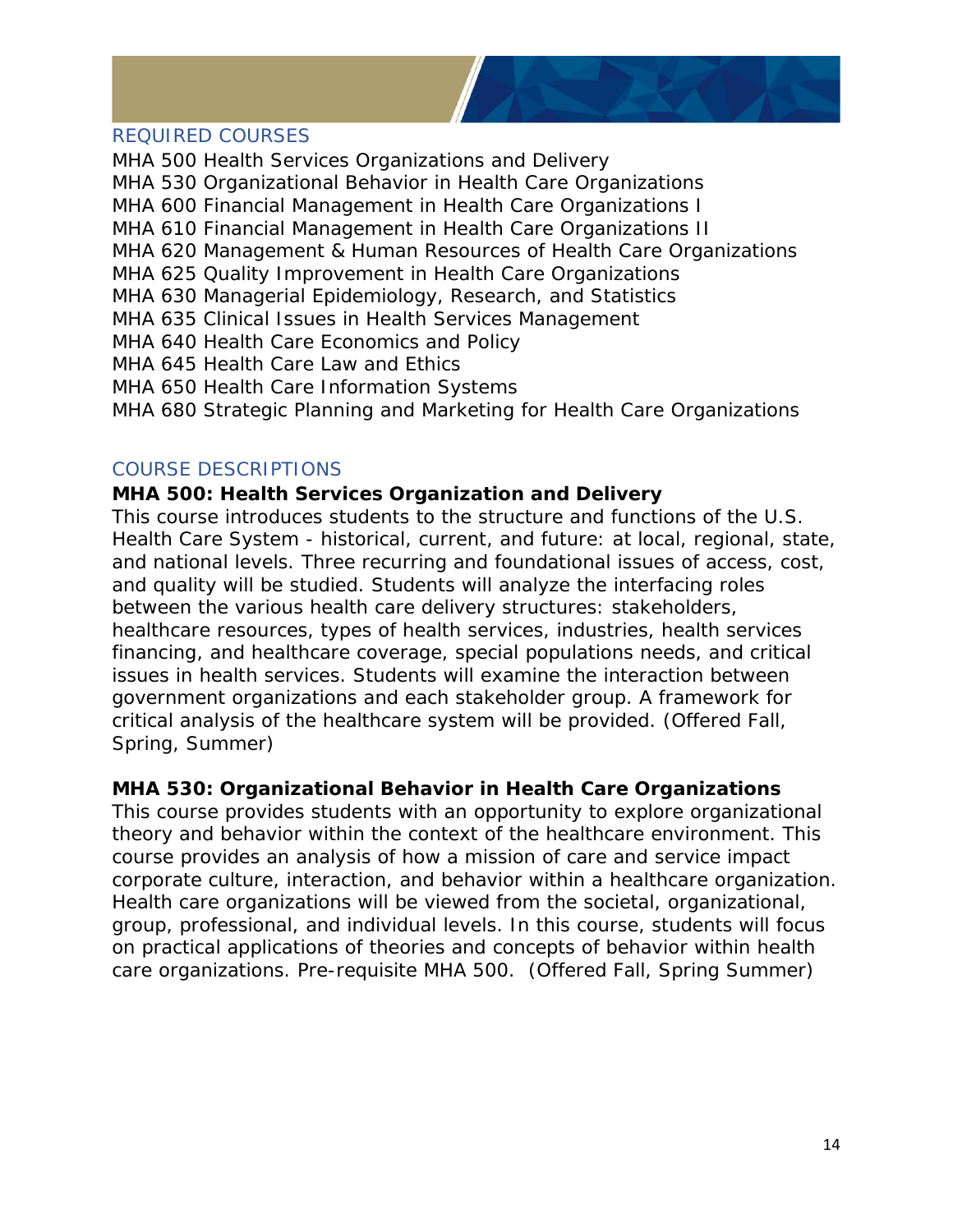

#### <span id="page-13-0"></span>REQUIRED COURSES

MHA 500 Health Services Organizations and Delivery MHA 530 Organizational Behavior in Health Care Organizations MHA 600 Financial Management in Health Care Organizations I MHA 610 Financial Management in Health Care Organizations II MHA 620 Management & Human Resources of Health Care Organizations MHA 625 Quality Improvement in Health Care Organizations MHA 630 Managerial Epidemiology, Research, and Statistics MHA 635 Clinical Issues in Health Services Management MHA 640 Health Care Economics and Policy MHA 645 Health Care Law and Ethics MHA 650 Health Care Information Systems MHA 680 Strategic Planning and Marketing for Health Care Organizations

#### <span id="page-13-1"></span>COURSE DESCRIPTIONS

#### **MHA 500: Health Services Organization and Delivery**

This course introduces students to the structure and functions of the U.S. Health Care System - historical, current, and future: at local, regional, state, and national levels. Three recurring and foundational issues of access, cost, and quality will be studied. Students will analyze the interfacing roles between the various health care delivery structures: stakeholders, healthcare resources, types of health services, industries, health services financing, and healthcare coverage, special populations needs, and critical issues in health services. Students will examine the interaction between government organizations and each stakeholder group. A framework for critical analysis of the healthcare system will be provided. (Offered Fall, Spring, Summer)

#### **MHA 530: Organizational Behavior in Health Care Organizations**

This course provides students with an opportunity to explore organizational theory and behavior within the context of the healthcare environment. This course provides an analysis of how a mission of care and service impact corporate culture, interaction, and behavior within a healthcare organization. Health care organizations will be viewed from the societal, organizational, group, professional, and individual levels. In this course, students will focus on practical applications of theories and concepts of behavior within health care organizations. Pre-requisite MHA 500. (Offered Fall, Spring Summer)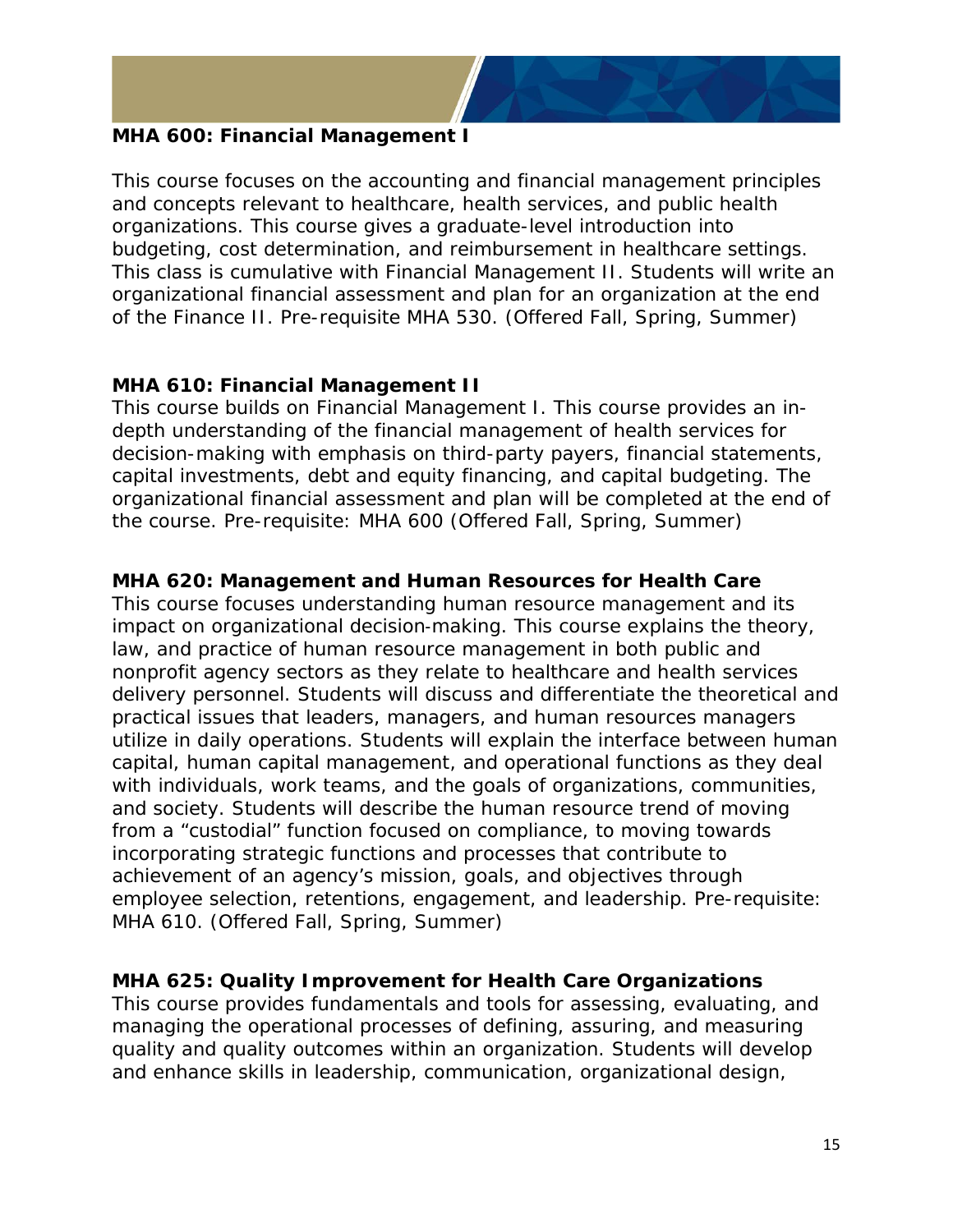

#### **MHA 600: Financial Management I**

This course focuses on the accounting and financial management principles and concepts relevant to healthcare, health services, and public health organizations. This course gives a graduate-level introduction into budgeting, cost determination, and reimbursement in healthcare settings. This class is cumulative with Financial Management II. Students will write an organizational financial assessment and plan for an organization at the end of the Finance II. Pre-requisite MHA 530. (Offered Fall, Spring, Summer)

#### **MHA 610: Financial Management II**

This course builds on Financial Management I. This course provides an indepth understanding of the financial management of health services for decision-making with emphasis on third-party payers, financial statements, capital investments, debt and equity financing, and capital budgeting. The organizational financial assessment and plan will be completed at the end of the course. Pre-requisite: MHA 600 (Offered Fall, Spring, Summer)

#### **MHA 620: Management and Human Resources for Health Care**

This course focuses understanding human resource management and its impact on organizational decision‐making. This course explains the theory, law, and practice of human resource management in both public and nonprofit agency sectors as they relate to healthcare and health services delivery personnel. Students will discuss and differentiate the theoretical and practical issues that leaders, managers, and human resources managers utilize in daily operations. Students will explain the interface between human capital, human capital management, and operational functions as they deal with individuals, work teams, and the goals of organizations, communities, and society. Students will describe the human resource trend of moving from a "custodial" function focused on compliance, to moving towards incorporating strategic functions and processes that contribute to achievement of an agency's mission, goals, and objectives through employee selection, retentions, engagement, and leadership. Pre-requisite: MHA 610. (Offered Fall, Spring, Summer)

#### **MHA 625: Quality Improvement for Health Care Organizations**

This course provides fundamentals and tools for assessing, evaluating, and managing the operational processes of defining, assuring, and measuring quality and quality outcomes within an organization. Students will develop and enhance skills in leadership, communication, organizational design,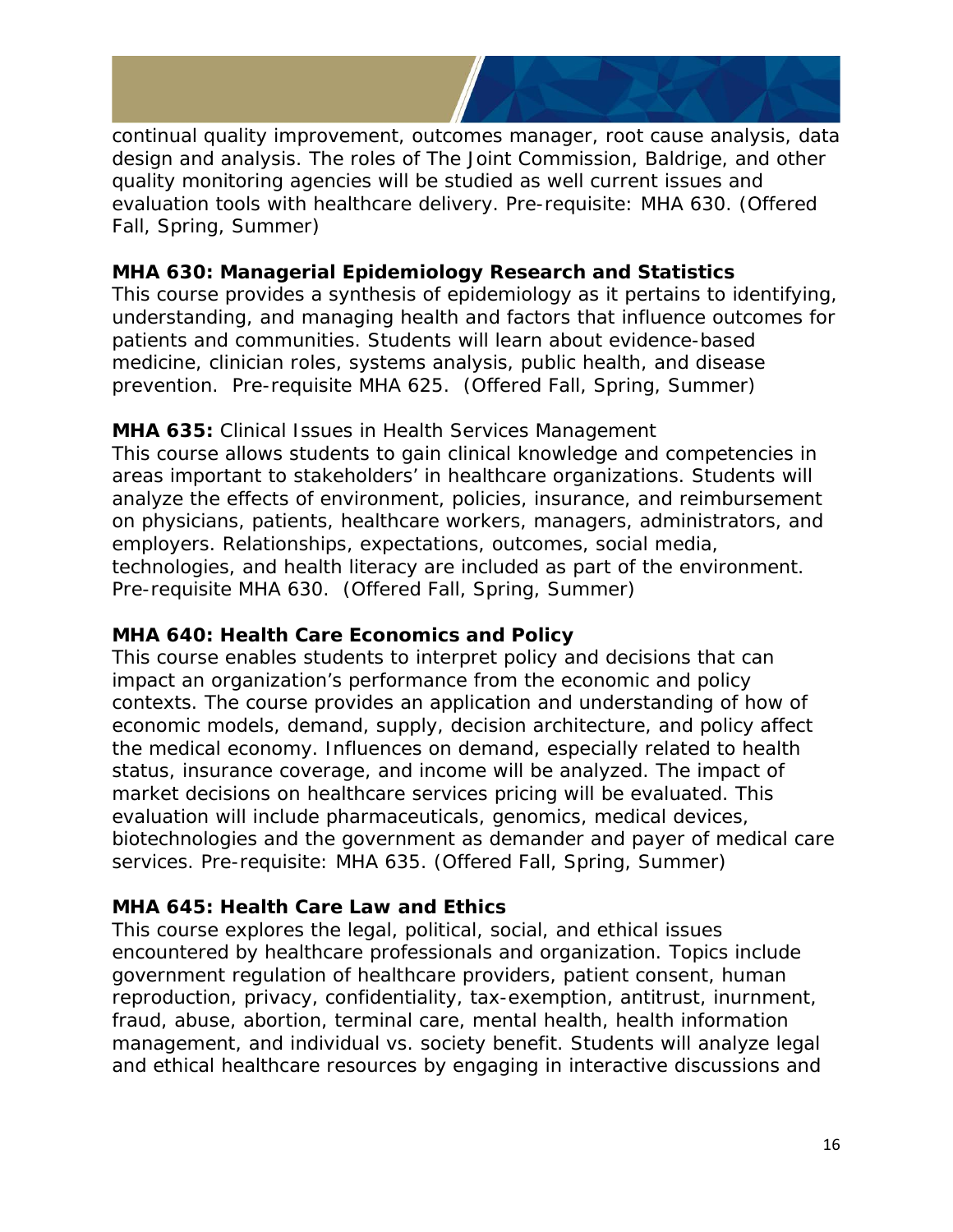

continual quality improvement, outcomes manager, root cause analysis, data design and analysis. The roles of The Joint Commission, Baldrige, and other quality monitoring agencies will be studied as well current issues and evaluation tools with healthcare delivery. Pre-requisite: MHA 630. (Offered Fall, Spring, Summer)

#### **MHA 630: Managerial Epidemiology Research and Statistics**

This course provides a synthesis of epidemiology as it pertains to identifying, understanding, and managing health and factors that influence outcomes for patients and communities. Students will learn about evidence-based medicine, clinician roles, systems analysis, public health, and disease prevention. Pre-requisite MHA 625. (Offered Fall, Spring, Summer)

#### **MHA 635:** Clinical Issues in Health Services Management

This course allows students to gain clinical knowledge and competencies in areas important to stakeholders' in healthcare organizations. Students will analyze the effects of environment, policies, insurance, and reimbursement on physicians, patients, healthcare workers, managers, administrators, and employers. Relationships, expectations, outcomes, social media, technologies, and health literacy are included as part of the environment. Pre-requisite MHA 630. (Offered Fall, Spring, Summer)

#### **MHA 640: Health Care Economics and Policy**

This course enables students to interpret policy and decisions that can impact an organization's performance from the economic and policy contexts. The course provides an application and understanding of how of economic models, demand, supply, decision architecture, and policy affect the medical economy. Influences on demand, especially related to health status, insurance coverage, and income will be analyzed. The impact of market decisions on healthcare services pricing will be evaluated. This evaluation will include pharmaceuticals, genomics, medical devices, biotechnologies and the government as demander and payer of medical care services. Pre-requisite: MHA 635. (Offered Fall, Spring, Summer)

#### **MHA 645: Health Care Law and Ethics**

This course explores the legal, political, social, and ethical issues encountered by healthcare professionals and organization. Topics include government regulation of healthcare providers, patient consent, human reproduction, privacy, confidentiality, tax-exemption, antitrust, inurnment, fraud, abuse, abortion, terminal care, mental health, health information management, and individual vs. society benefit. Students will analyze legal and ethical healthcare resources by engaging in interactive discussions and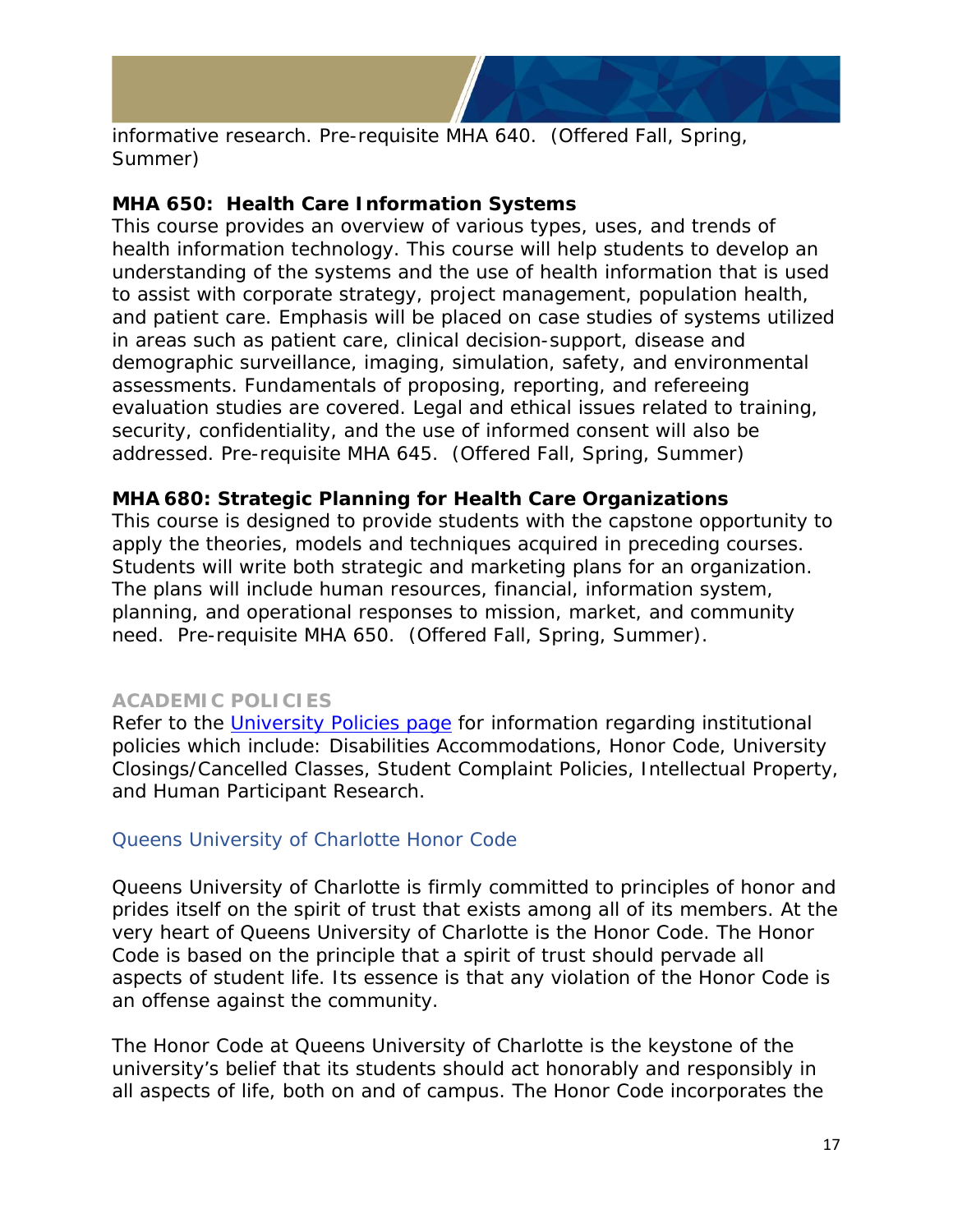

informative research. Pre-requisite MHA 640. (Offered Fall, Spring, Summer)

#### **MHA 650: Health Care Information Systems**

This course provides an overview of various types, uses, and trends of health information technology. This course will help students to develop an understanding of the systems and the use of health information that is used to assist with corporate strategy, project management, population health, and patient care. Emphasis will be placed on case studies of systems utilized in areas such as patient care, clinical decision-support, disease and demographic surveillance, imaging, simulation, safety, and environmental assessments. Fundamentals of proposing, reporting, and refereeing evaluation studies are covered. Legal and ethical issues related to training, security, confidentiality, and the use of informed consent will also be addressed. Pre-requisite MHA 645. (Offered Fall, Spring, Summer)

#### **MHA 680: Strategic Planning for Health Care Organizations**

This course is designed to provide students with the capstone opportunity to apply the theories, models and techniques acquired in preceding courses. Students will write both strategic and marketing plans for an organization. The plans will include human resources, financial, information system, planning, and operational responses to mission, market, and community need. Pre-requisite MHA 650. (Offered Fall, Spring, Summer).

#### <span id="page-16-0"></span>**ACADEMIC POLICIES**

Refer to the [University Policies page](https://www.queens.edu/about/policies/) for information regarding institutional policies which include: Disabilities Accommodations, Honor Code, University Closings/Cancelled Classes, Student Complaint Policies, Intellectual Property, and Human Participant Research.

#### <span id="page-16-1"></span>[Queens University of Charlotte Honor Code](https://www.queens.edu/about/docs/honor-code.pdf)

Queens University of Charlotte is firmly committed to principles of honor and prides itself on the spirit of trust that exists among all of its members. At the very heart of Queens University of Charlotte is the Honor Code. The Honor Code is based on the principle that a spirit of trust should pervade all aspects of student life. Its essence is that any violation of the Honor Code is an offense against the community.

The Honor Code at Queens University of Charlotte is the keystone of the university's belief that its students should act honorably and responsibly in all aspects of life, both on and of campus. The Honor Code incorporates the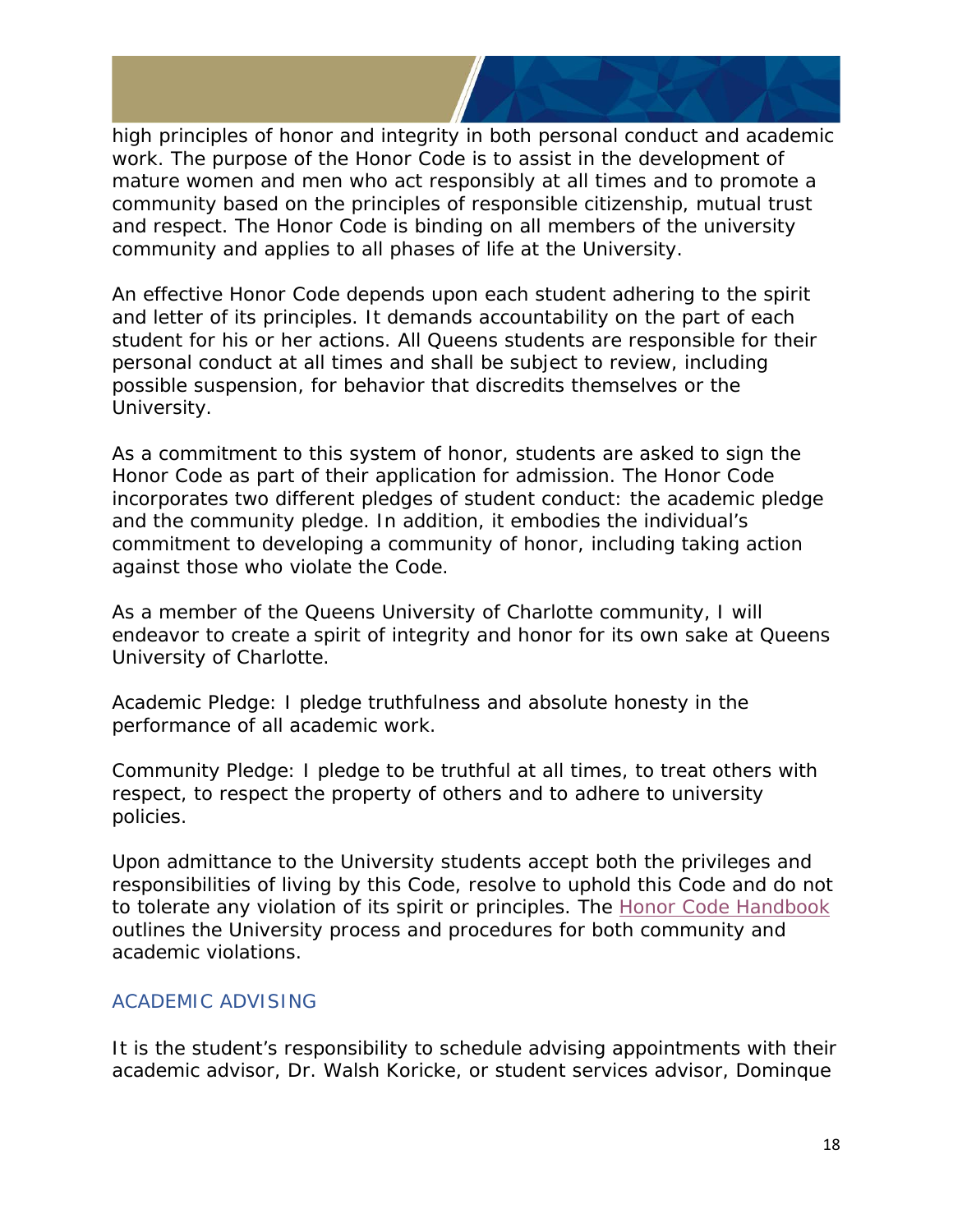high principles of honor and integrity in both personal conduct and academic work. The purpose of the Honor Code is to assist in the development of mature women and men who act responsibly at all times and to promote a community based on the principles of responsible citizenship, mutual trust and respect. The Honor Code is binding on all members of the university community and applies to all phases of life at the University.

An effective Honor Code depends upon each student adhering to the spirit and letter of its principles. It demands accountability on the part of each student for his or her actions. All Queens students are responsible for their personal conduct at all times and shall be subject to review, including possible suspension, for behavior that discredits themselves or the University.

As a commitment to this system of honor, students are asked to sign the Honor Code as part of their application for admission. The Honor Code incorporates two different pledges of student conduct: the academic pledge and the community pledge. In addition, it embodies the individual's commitment to developing a community of honor, including taking action against those who violate the Code.

*As a member of the Queens University of Charlotte community, I will endeavor to create a spirit of integrity and honor for its own sake at Queens University of Charlotte.* 

*Academic Pledge: I pledge truthfulness and absolute honesty in the performance of all academic work.* 

*Community Pledge: I pledge to be truthful at all times, to treat others with respect, to respect the property of others and to adhere to university policies.* 

Upon admittance to the University students accept both the privileges and responsibilities of living by this Code, resolve to uphold this Code and do not to tolerate any violation of its spirit or principles. The [Honor Code Handbook](https://www.queens.edu/about/docs/honor-code.pdf) outlines the University process and procedures for both community and academic violations.

#### <span id="page-17-0"></span>ACADEMIC ADVISING

It is the student's responsibility to schedule advising appointments with their academic advisor, Dr. Walsh Koricke, or student services advisor, Dominque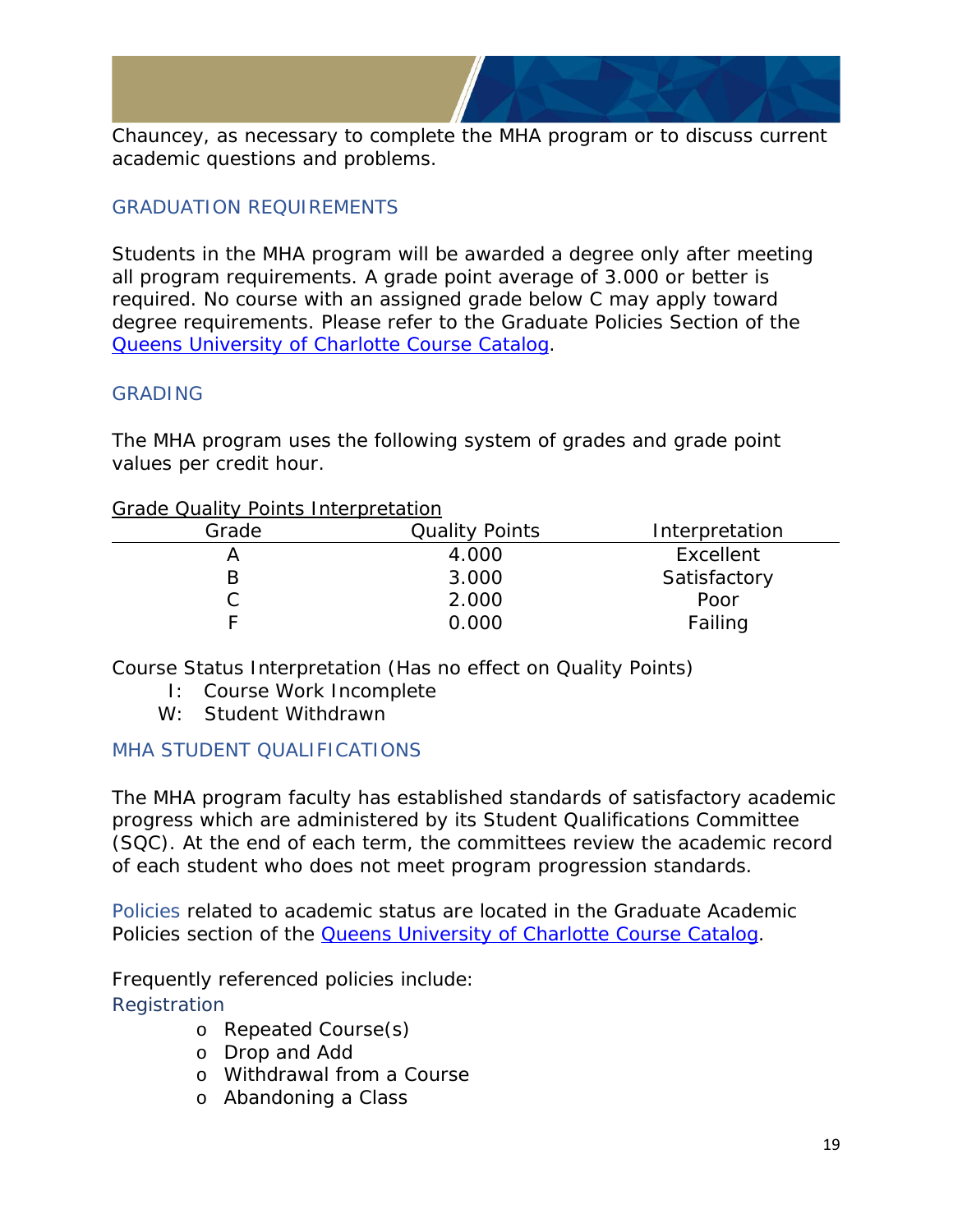Chauncey, as necessary to complete the MHA program or to discuss current academic questions and problems.

#### <span id="page-18-0"></span>GRADUATION REQUIREMENTS

Students in the MHA program will be awarded a degree only after meeting all program requirements. A grade point average of 3.000 or better is required. No course with an assigned grade below C may apply toward degree requirements. Please refer to the Graduate Policies Section of the [Queens University of Charlotte Course Catalog.](https://www.queens.edu/academics/academic-support/registrar/2020-21%20Catalog%20Final_Secured.pdf)

#### <span id="page-18-1"></span>GRADING

The MHA program uses the following system of grades and grade point values per credit hour.

#### Grade Quality Points Interpretation

| Grade | <b>Quality Points</b> | Interpretation |
|-------|-----------------------|----------------|
|       | 4.000                 | Excellent      |
|       | 3.000                 | Satisfactory   |
|       | 2.000                 | Poor           |
|       | 0.000                 | Failing        |

Course Status Interpretation (Has no effect on Quality Points)

- I: Course Work Incomplete
- W: Student Withdrawn

#### <span id="page-18-2"></span>MHA STUDENT QUALIFICATIONS

The MHA program faculty has established standards of satisfactory academic progress which are administered by its Student Qualifications Committee (SQC). At the end of each term, the committees review the academic record of each student who does not meet program progression standards.

<span id="page-18-3"></span>Policies related to academic status are located in the *Graduate Academic Policies* section of the [Queens University of Charlotte Course Catalog.](https://www.queens.edu/academics/academic-support/registrar/2020-21%20Catalog%20Final_Secured.pdf)

<span id="page-18-4"></span>Frequently referenced policies include: **Registration** 

- o Repeated Course(s)
- o Drop and Add
- o Withdrawal from a Course
- o Abandoning a Class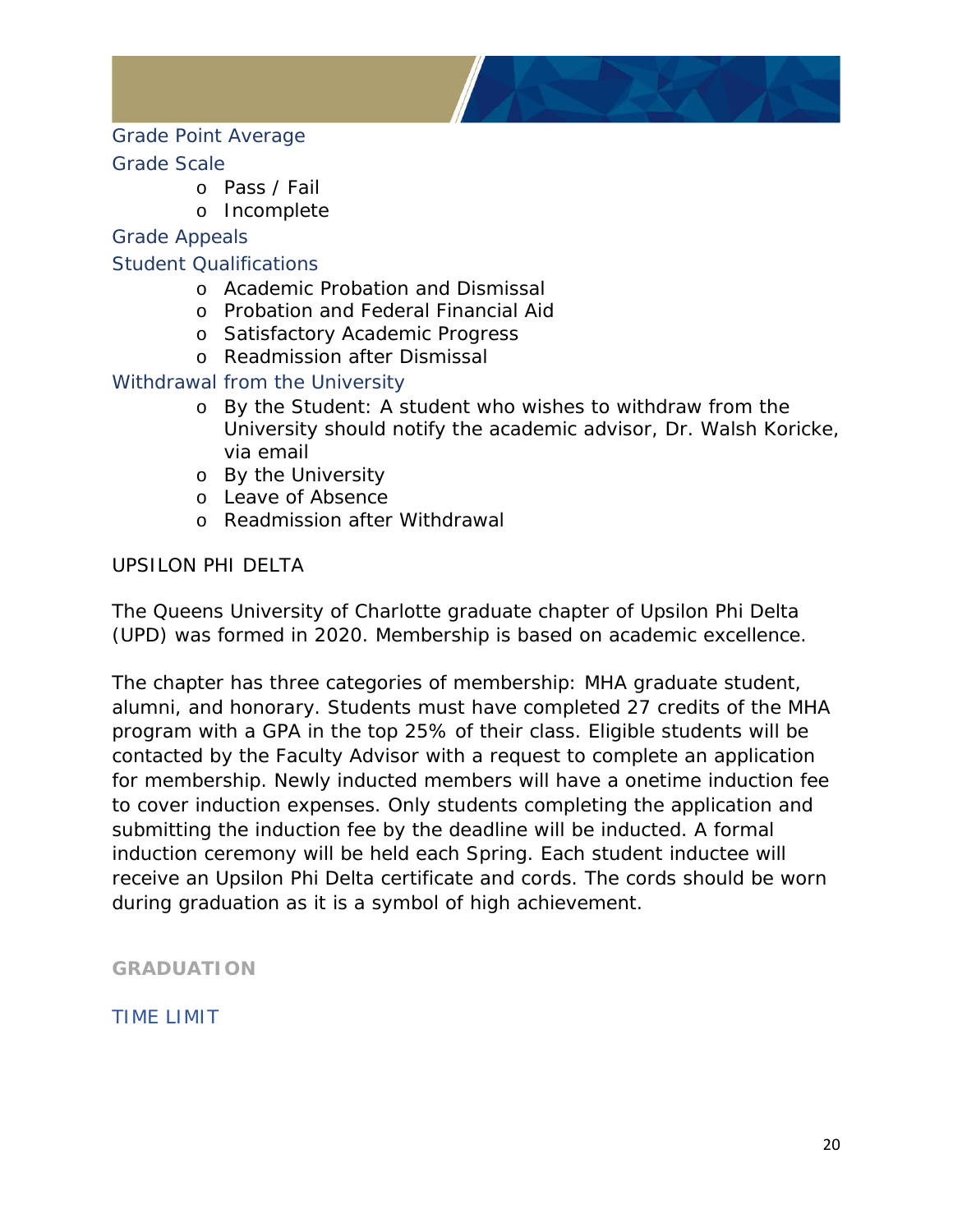

#### <span id="page-19-0"></span>Grade Point Average

#### <span id="page-19-1"></span>Grade Scale

- o Pass / Fail
- o Incomplete

#### <span id="page-19-2"></span>Grade Appeals

#### <span id="page-19-3"></span>Student Qualifications

- o Academic Probation and Dismissal
- o Probation and Federal Financial Aid
- o Satisfactory Academic Progress
- o Readmission after Dismissal

#### <span id="page-19-4"></span>Withdrawal from the University

- o By the Student: A student who wishes to withdraw from the University should notify the academic advisor, Dr. Walsh Koricke, via email
- o By the University
- o Leave of Absence
- o Readmission after Withdrawal

#### UPSILON PHI DELTA

The Queens University of Charlotte graduate chapter of Upsilon Phi Delta (UPD) was formed in 2020. Membership is based on academic excellence.

The chapter has three categories of membership: MHA graduate student, alumni, and honorary. Students must have completed 27 credits of the MHA program with a GPA in the top 25% of their class. Eligible students will be contacted by the Faculty Advisor with a request to complete an application for membership. Newly inducted members will have a onetime induction fee to cover induction expenses. Only students completing the application and submitting the induction fee by the deadline will be inducted. A formal induction ceremony will be held each Spring. Each student inductee will receive an Upsilon Phi Delta certificate and cords. The cords should be worn during graduation as it is a symbol of high achievement.

<span id="page-19-5"></span>**GRADUATION** 

<span id="page-19-6"></span>TIME LIMIT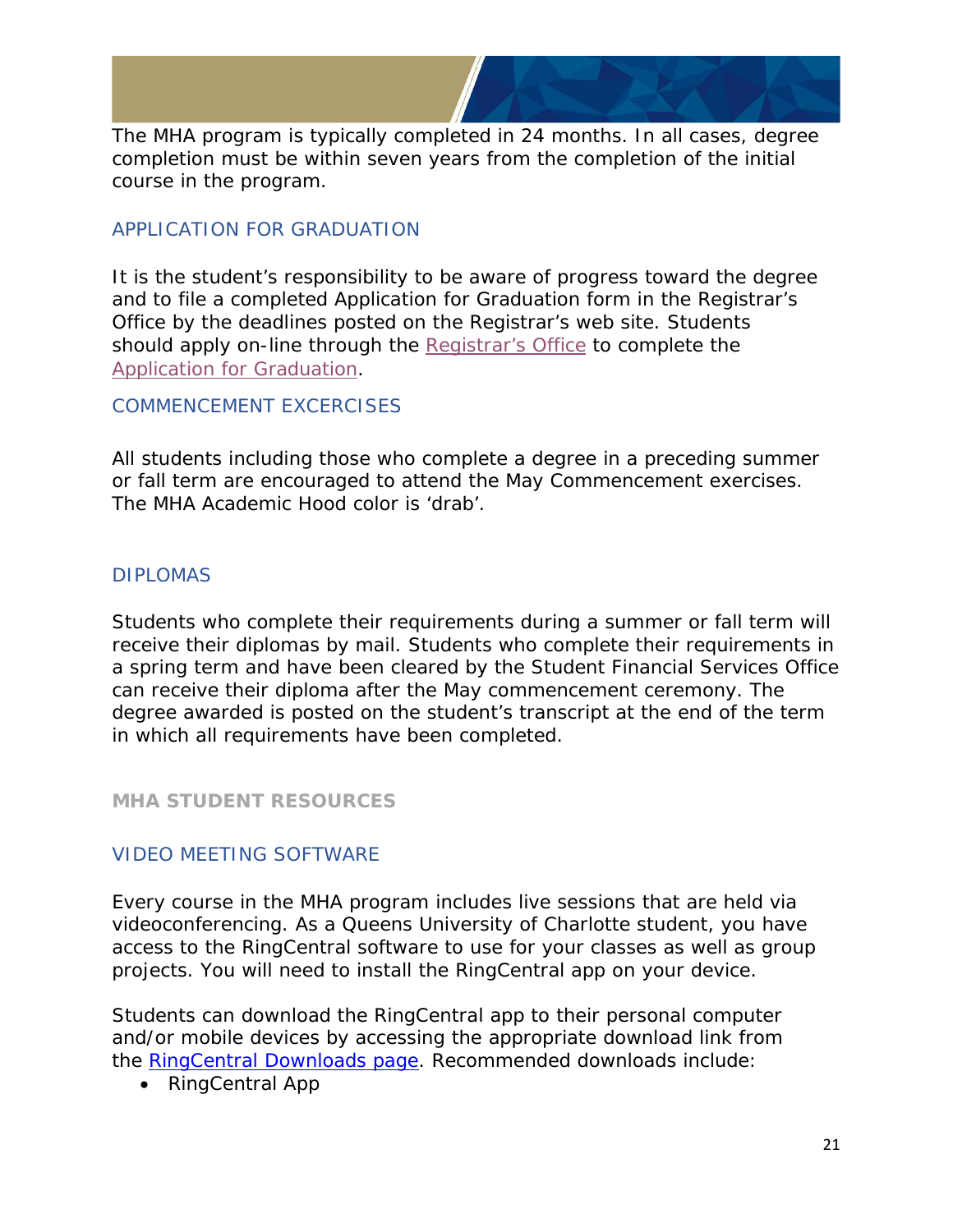

The MHA program is typically completed in 24 months. In all cases, degree completion must be within seven years from the completion of the initial course in the program.

#### <span id="page-20-0"></span>APPLICATION FOR GRADUATION

It is the student's responsibility to be aware of progress toward the degree and to file a completed Application for Graduation form in the Registrar's Office by the deadlines posted on the Registrar's web site. Students should apply on-line through the [Registrar's Office](https://my.queens.edu/registrar/SitePages/Home.aspx) to complete the [Application for Graduation.](https://queens-yhcyj.formstack.com/forms/graduation)

#### <span id="page-20-1"></span>COMMENCEMENT EXCERCISES

All students including those who complete a degree in a preceding summer or fall term are encouraged to attend the May Commencement exercises. The MHA Academic Hood color is 'drab'.

#### <span id="page-20-2"></span>DIPLOMAS

Students who complete their requirements during a summer or fall term will receive their diplomas by mail. Students who complete their requirements in a spring term and have been cleared by the Student Financial Services Office can receive their diploma after the May commencement ceremony. The degree awarded is posted on the student's transcript at the end of the term in which all requirements have been completed.

#### <span id="page-20-3"></span>**MHA STUDENT RESOURCES**

#### <span id="page-20-4"></span>VIDEO MEETING SOFTWARE

Every course in the MHA program includes live sessions that are held via videoconferencing. As a Queens University of Charlotte student, you have access to the RingCentral software to use for your classes as well as group projects. You will need to install the RingCentral app on your device.

Students can download the RingCentral app to their personal computer and/or mobile devices by accessing the appropriate download link from the [RingCentral Downloads page.](https://support.ringcentral.com/s/download) Recommended downloads include:

• RingCentral App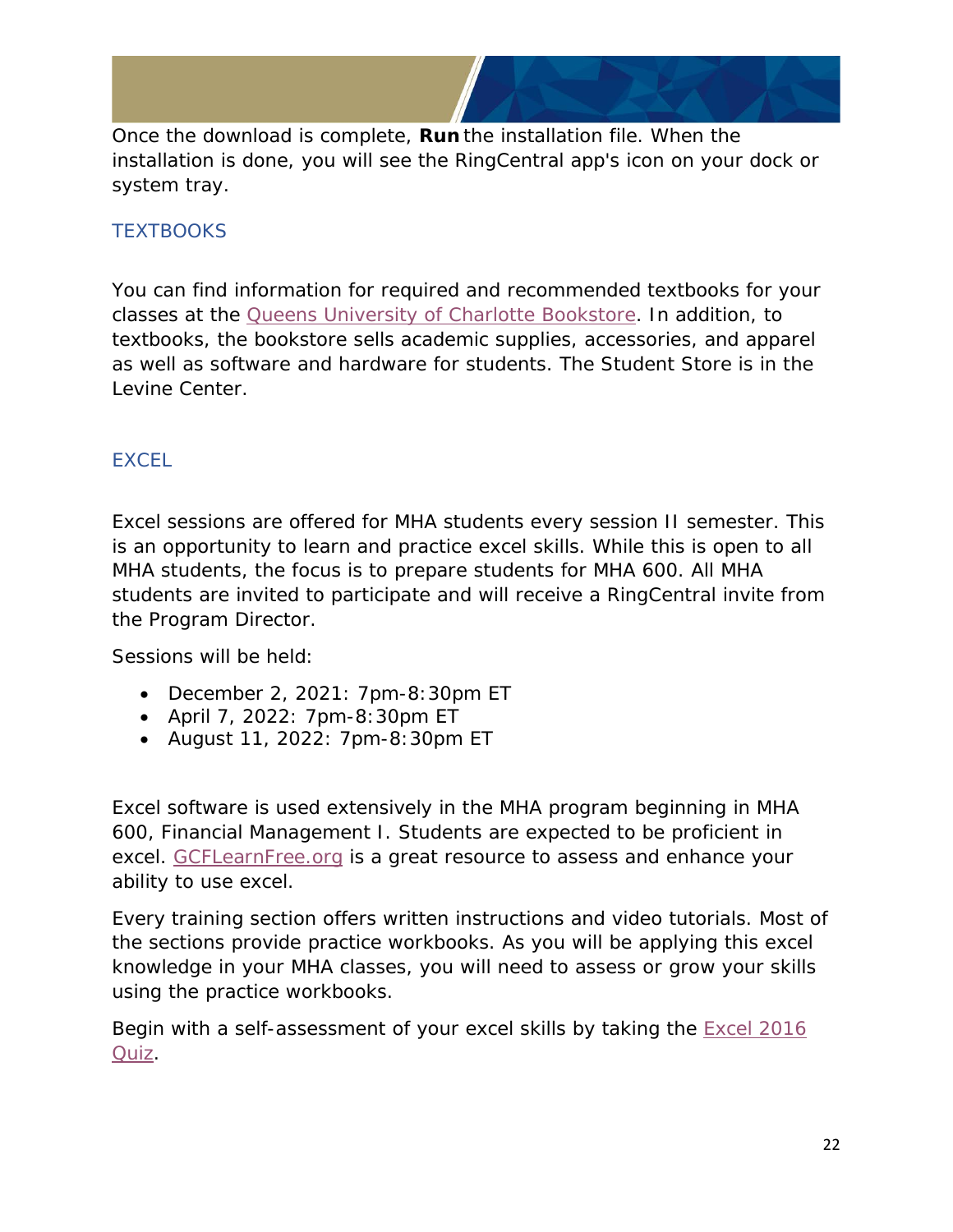Once the download is complete, **Run** the installation file. When the installation is done, you will see the RingCentral app's icon on your dock or system tray.

#### <span id="page-21-0"></span>**TEXTBOOKS**

You can find information for required and recommended textbooks for your classes at the [Queens University of Charlotte Bookstore.](https://www.bkstr.com/queensucharlottestore/shop/textbooks-and-course-materials) In addition, to textbooks, the bookstore sells academic supplies, accessories, and apparel as well as software and hardware for students. The Student Store is in the Levine Center.

#### <span id="page-21-1"></span>**EXCEL**

Excel sessions are offered for MHA students every session II semester. This is an opportunity to learn and practice excel skills. While this is open to all MHA students, the focus is to prepare students for MHA 600. All MHA students are invited to participate and will receive a RingCentral invite from the Program Director.

Sessions will be held:

- December 2, 2021: 7pm-8:30pm ET
- April 7, 2022: 7pm-8:30pm ET
- August 11, 2022: 7pm-8:30pm ET

Excel software is used extensively in the MHA program beginning in MHA 600, Financial Management I. Students are expected to be proficient in excel. [GCFLearnFree.org](https://edu.gcfglobal.org/en/excel2016/) is a great resource to assess and enhance your ability to use excel.

Every training section offers written instructions and video tutorials. Most of the sections provide practice workbooks. As you will be applying this excel knowledge in your MHA classes, you will need to assess or grow your skills using the practice workbooks.

Begin with a self-assessment of your excel skills by taking the [Excel 2016](https://gcflearnfree-assessments.azurewebsites.net/viewer/index.html#!/4fa5384f-07b0-4275-a546-6cdab6079d63?1464286194179)  [Quiz.](https://gcflearnfree-assessments.azurewebsites.net/viewer/index.html#!/4fa5384f-07b0-4275-a546-6cdab6079d63?1464286194179)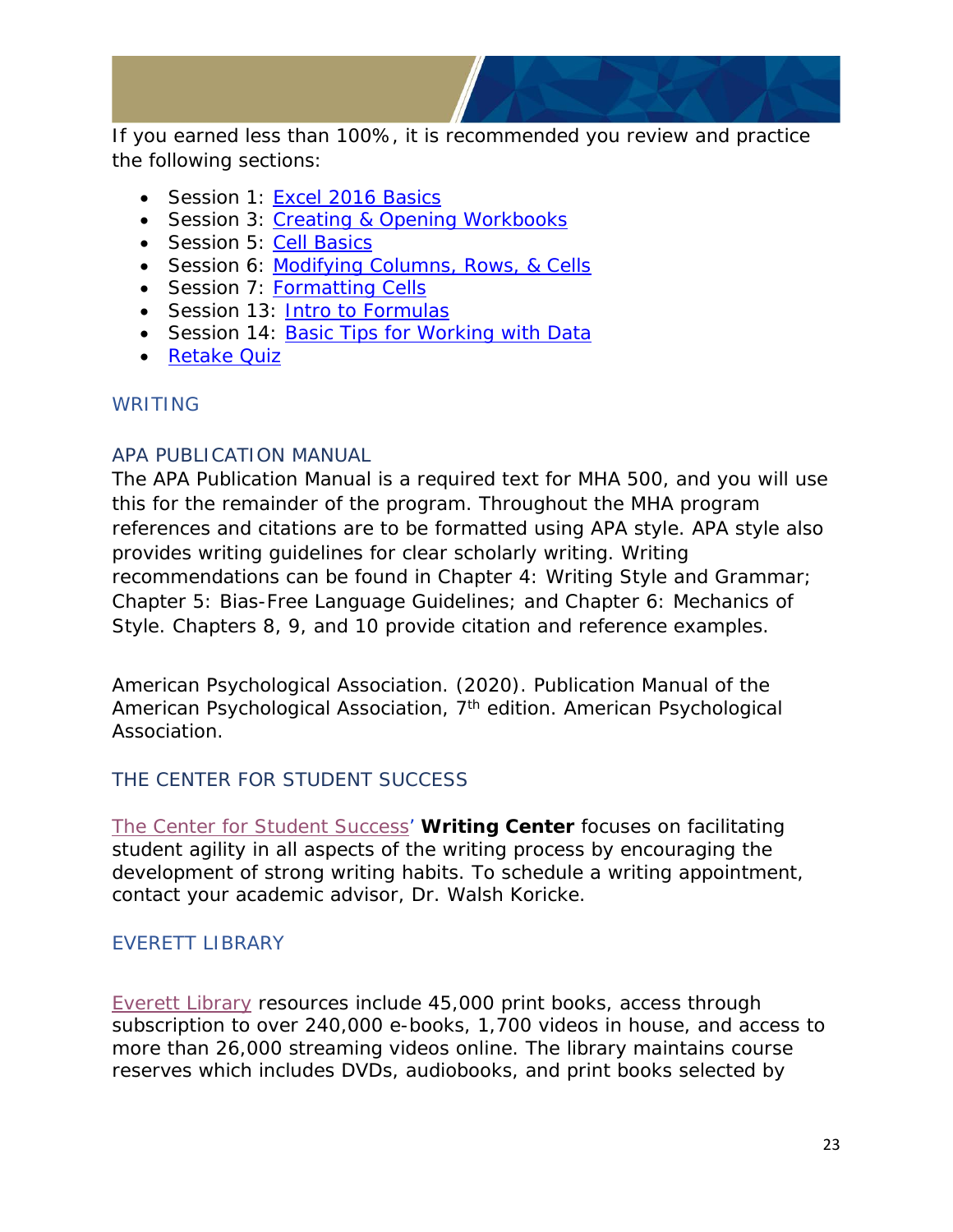

If you earned less than 100%, it is recommended you review and practice the following sections:

- Session 1: [Excel 2016 Basics](https://edu.gcfglobal.org/en/excel2016/getting-started-with-excel/1/)
- Session 3: [Creating & Opening Workbooks](https://edu.gcfglobal.org/en/excel2016/creating-and-opening-workbooks/1/)
- Session 5: [Cell Basics](https://edu.gcfglobal.org/en/excel2016/cell-basics/1/)
- Session 6: [Modifying Columns, Rows, & Cells](https://edu.gcfglobal.org/en/excel2016/modifying-columns-rows-and-cells/1/)
- Session 7: [Formatting Cells](https://edu.gcfglobal.org/en/excel2016/formatting-cells/1/)
- Session 13: [Intro to Formulas](https://edu.gcfglobal.org/en/excel2016/intro-to-formulas/1/)
- Session 14: [Basic Tips for Working with Data](https://edu.gcfglobal.org/en/excel2016/basic-tips-for-working-with-data/1/)
- [Retake Quiz](https://gcflearnfree-assessments.azurewebsites.net/viewer/index.html#!/4fa5384f-07b0-4275-a546-6cdab6079d63?1464286194179)

#### <span id="page-22-0"></span>WRITING

#### <span id="page-22-1"></span>APA PUBLICATION MANUAL

The APA Publication Manual is a required text for MHA 500, and you will use this for the remainder of the program. Throughout the MHA program references and citations are to be formatted using APA style. APA style also provides writing guidelines for clear scholarly writing. Writing recommendations can be found in Chapter 4: Writing Style and Grammar; Chapter 5: Bias-Free Language Guidelines; and Chapter 6: Mechanics of Style. Chapters 8, 9, and 10 provide citation and reference examples.

American Psychological Association. (2020). *Publication Manual of the American Psychological Association, 7th edition*. American Psychological Association.

#### <span id="page-22-2"></span>THE CENTER FOR STUDENT SUCCESS

[The Center for Student Success'](https://my.queens.edu/css/SitePages/Home.aspx) **Writing Center** focuses on facilitating student agility in all aspects of the writing process by encouraging the development of strong writing habits. To schedule a writing appointment, contact your academic advisor, Dr. Walsh Koricke.

#### <span id="page-22-3"></span>EVERETT LIBRARY

[Everett Library](https://library.queens.edu/lib/home) resources include 45,000 print books, access through subscription to over 240,000 e-books, 1,700 videos in house, and access to more than 26,000 streaming videos online. The library maintains course reserves which includes DVDs, audiobooks, and print books selected by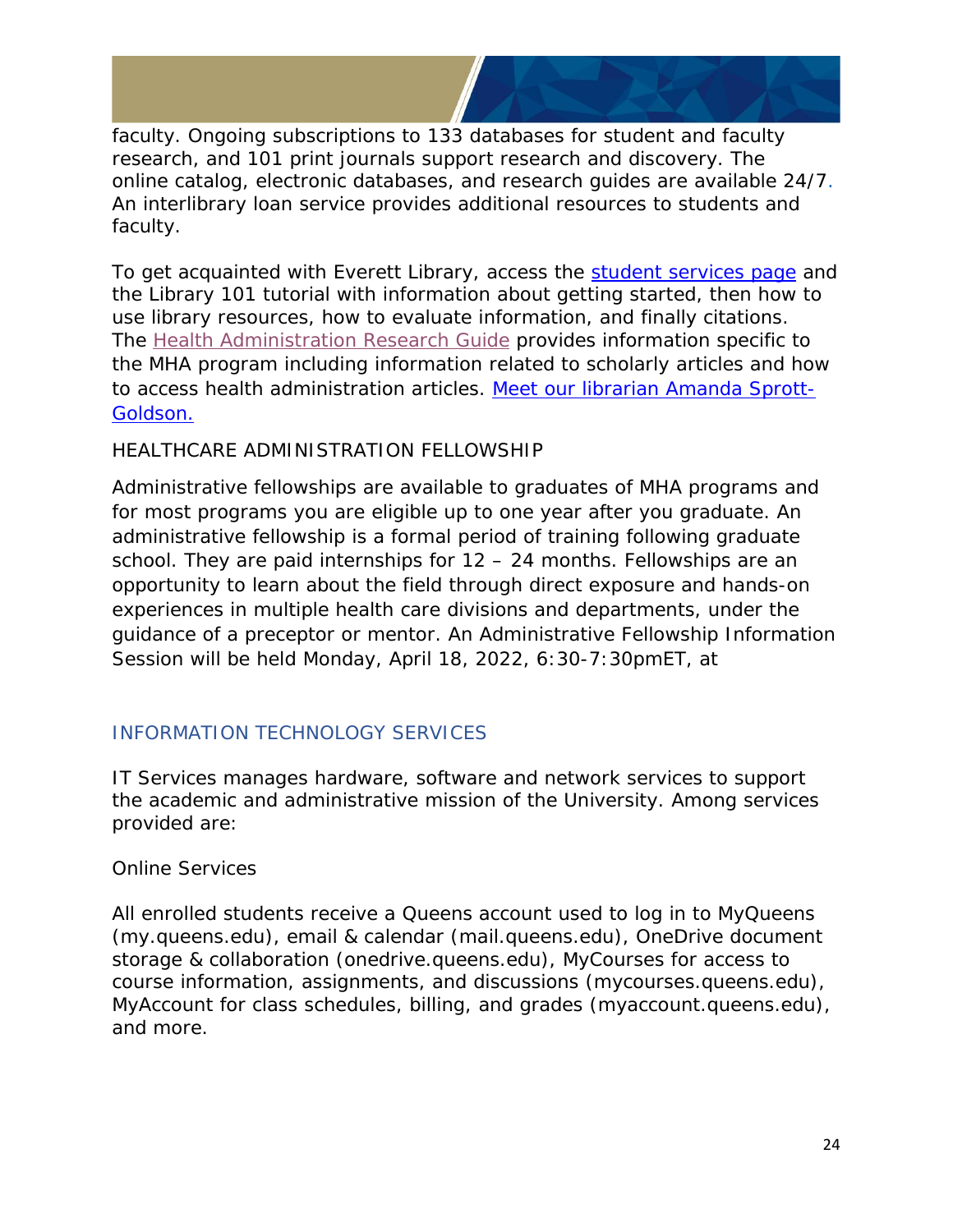faculty. Ongoing subscriptions to 133 databases for student and faculty research, and 101 print journals support research and discovery. The online catalog, electronic databases, and research guides are available 24/7. An interlibrary loan service provides additional resources to students and faculty.

To get acquainted with Everett Library, access the [student services page](https://library.queens.edu/students) and the Library 101 tutorial with information about getting started, then how to use library resources, how to evaluate information, and finally citations. The [Health Administration Research Guide](https://library.queens.edu/mha) provides information specific to the MHA program including information related to scholarly articles and how to access health administration articles. [Meet our librarian Amanda Sprott-](https://library.queens.edu/prf.php?account_id=224719)[Goldson.](https://library.queens.edu/prf.php?account_id=224719)

#### HEALTHCARE ADMINISTRATION FELLOWSHIP

Administrative fellowships are available to graduates of MHA programs and for most programs you are eligible up to one year after you graduate. An administrative fellowship is a formal period of training following graduate school. They are paid internships for 12 – 24 months. Fellowships are an opportunity to learn about the field through direct exposure and hands-on experiences in multiple health care divisions and departments, under the guidance of a preceptor or mentor. An Administrative Fellowship Information Session will be held Monday, April 18, 2022, 6:30-7:30pmET, at

#### <span id="page-23-0"></span>INFORMATION TECHNOLOGY SERVICES

IT Services manages hardware, software and network services to support the academic and administrative mission of the University. Among services provided are:

#### Online Services

All enrolled students receive a Queens account used to log in to MyQueens (my.queens.edu), email & calendar (mail.queens.edu), OneDrive document storage & collaboration (onedrive.queens.edu), MyCourses for access to course information, assignments, and discussions (mycourses.queens.edu), MyAccount for class schedules, billing, and grades (myaccount.queens.edu), and more.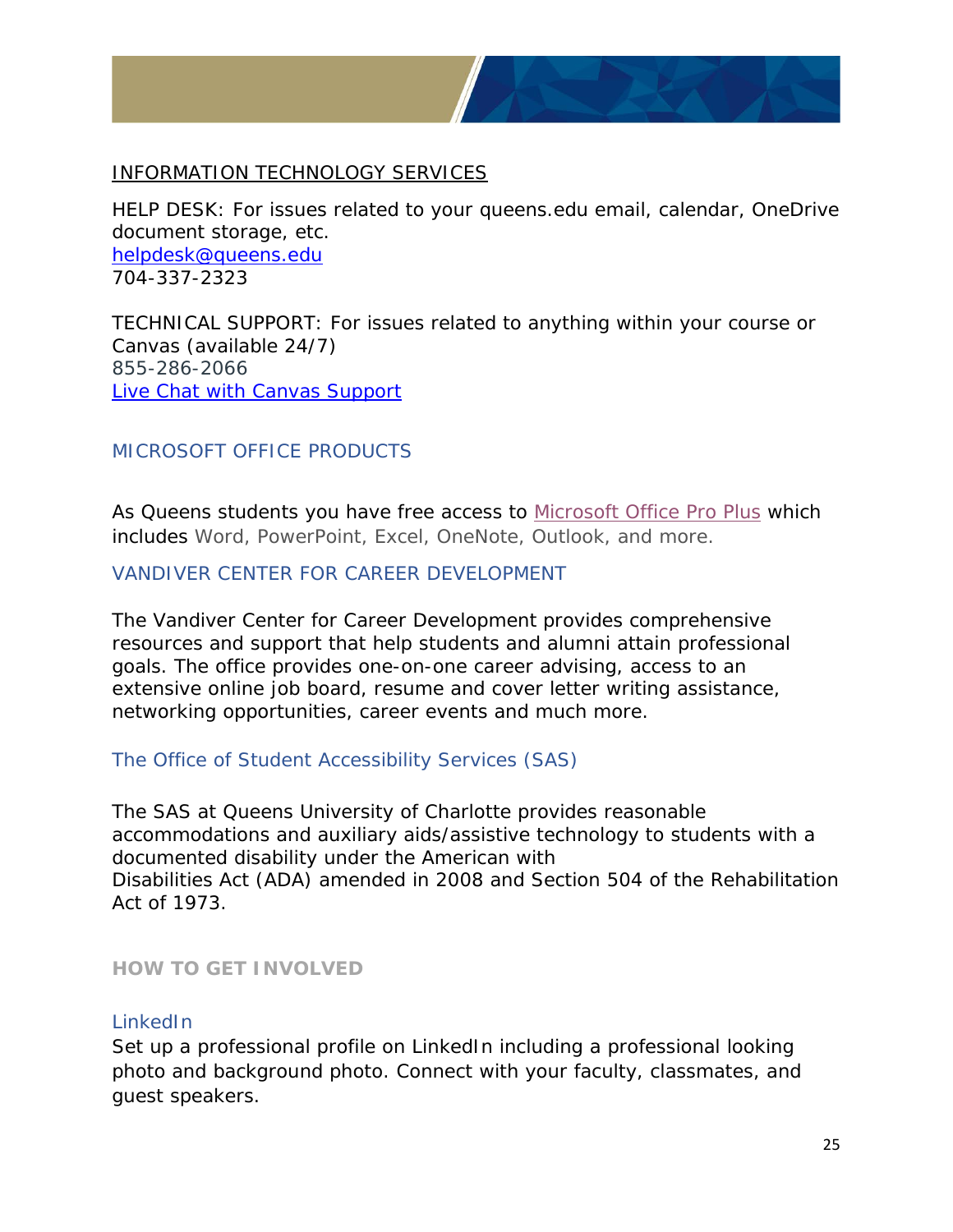

#### INFORMATION TECHNOLOGY SERVICES

HELP DESK: For issues related to your queens.edu email, calendar, OneDrive document storage, etc. [helpdesk@queens.edu](mailto:helpdesk@queens.edu) 704-337-2323

TECHNICAL SUPPORT: For issues related to anything within your course or Canvas (available 24/7) 855-286-2066 [Live Chat with Canvas Support](https://cases.canvaslms.com/liveagentchat?chattype=student&sfid=001A000000Rbjl7IAB)

#### <span id="page-24-0"></span>MICROSOFT OFFICE PRODUCTS

As Queens students you have free access to [Microsoft Office Pro Plus](https://help.queens.edu/hc/en-us/articles/202933574-Microsoft-Office-Pro-Plus-Free-For-Queens-Faculty-Staff-Students) which includes Word, PowerPoint, Excel, OneNote, Outlook, and more.

#### <span id="page-24-1"></span>VANDIVER CENTER FOR CAREER DEVELOPMENT

The Vandiver Center for Career Development provides comprehensive resources and support that help students and alumni attain professional goals. The office provides one-on-one career advising, access to an extensive online job board, resume and cover letter writing assistance, networking opportunities, career events and much more.

#### <span id="page-24-2"></span>The Office of Student Accessibility Services (SAS)

The SAS at Queens University of Charlotte provides reasonable accommodations and auxiliary aids/assistive technology to students with a documented disability under the American with Disabilities Act (ADA) amended in 2008 and Section 504 of the Rehabilitation Act of 1973.

#### <span id="page-24-3"></span>**HOW TO GET INVOLVED**

#### <span id="page-24-4"></span>LinkedIn

Set up a professional profile on LinkedIn including a professional looking photo and background photo. Connect with your faculty, classmates, and guest speakers.